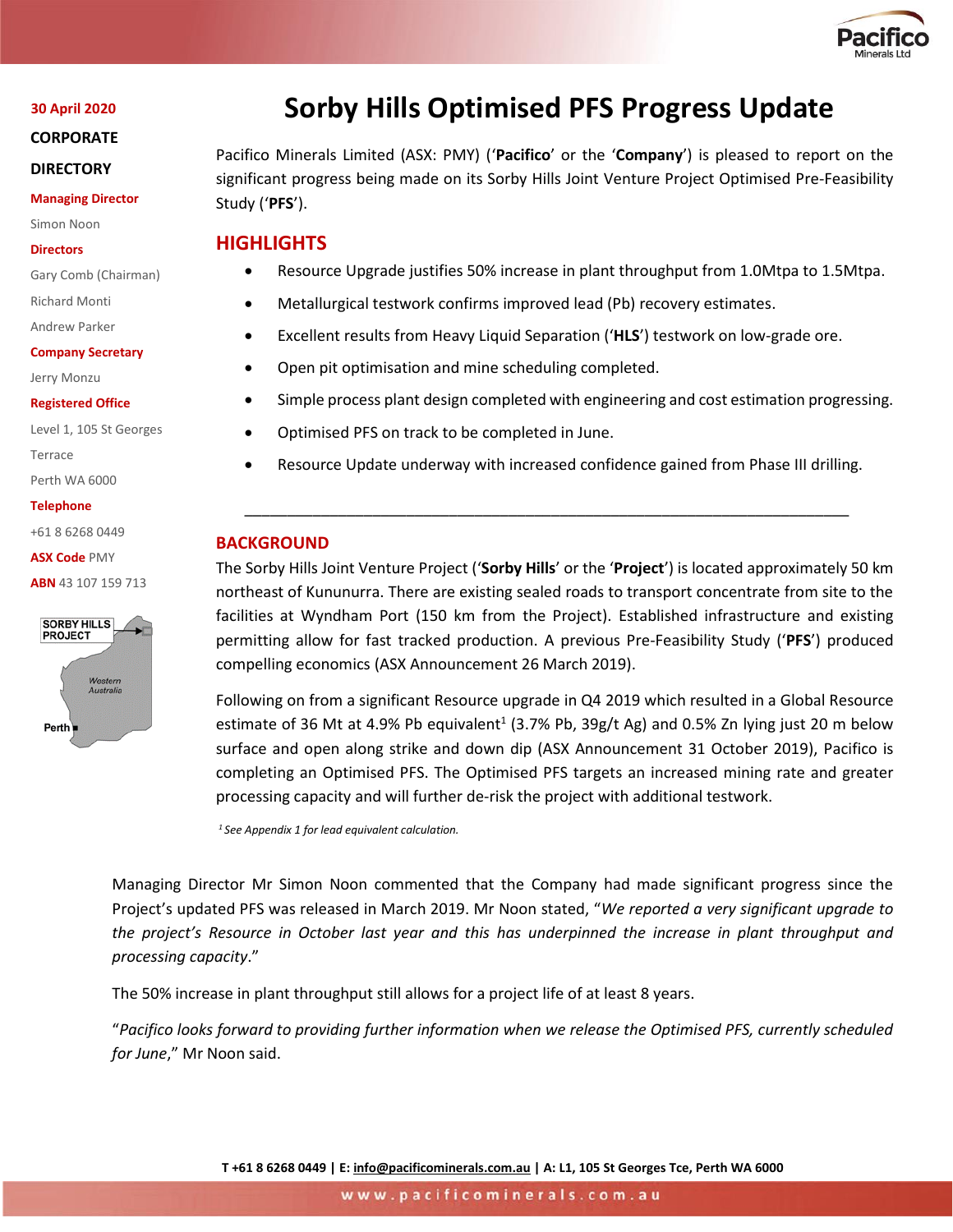

#### **30 April 2020**

**CORPORATE** 

#### **DIRECTORY**

**Managing Director**

Simon Noon

#### **Directors**

Gary Comb (Chairman)

Richard Monti

Andrew Parker

**Company Secretary**

Jerry Monzu

#### **Registered Office**

Level 1, 105 St Georges Terrace Perth WA 6000

**Telephone**

+61 8 6268 0449

**ASX Code** PMY

**ABN** 43 107 159 713



# **Sorby Hills Optimised PFS Progress Update**

Pacifico Minerals Limited (ASX: PMY) ('**Pacifico**' or the '**Company**') is pleased to report on the significant progress being made on its Sorby Hills Joint Venture Project Optimised Pre-Feasibility Study ('**PFS**').

## **HIGHLIGHTS**

- Resource Upgrade justifies 50% increase in plant throughput from 1.0Mtpa to 1.5Mtpa.
- Metallurgical testwork confirms improved lead (Pb) recovery estimates.
- Excellent results from Heavy Liquid Separation ('**HLS**') testwork on low-grade ore.
- Open pit optimisation and mine scheduling completed.
- Simple process plant design completed with engineering and cost estimation progressing.
- Optimised PFS on track to be completed in June.
- Resource Update underway with increased confidence gained from Phase III drilling.

\_\_\_\_\_\_\_\_\_\_\_\_\_\_\_\_\_\_\_\_\_\_\_\_\_\_\_\_\_\_\_\_\_\_\_\_\_\_\_\_\_\_\_\_\_\_\_\_\_\_\_\_\_\_\_\_\_\_\_\_\_\_\_\_\_\_\_\_\_\_\_

## **BACKGROUND**

The Sorby Hills Joint Venture Project ('**Sorby Hills**' or the '**Project**') is located approximately 50 km northeast of Kununurra. There are existing sealed roads to transport concentrate from site to the facilities at Wyndham Port (150 km from the Project). Established infrastructure and existing permitting allow for fast tracked production. A previous Pre-Feasibility Study ('**PFS**') produced compelling economics (ASX Announcement 26 March 2019).

Following on from a significant Resource upgrade in Q4 2019 which resulted in a Global Resource estimate of 36 Mt at 4.9% Pb equivalent<sup>1</sup> (3.7% Pb, 39g/t Ag) and 0.5% Zn lying just 20 m below surface and open along strike and down dip (ASX Announcement 31 October 2019), Pacifico is completing an Optimised PFS. The Optimised PFS targets an increased mining rate and greater processing capacity and will further de-risk the project with additional testwork.

*<sup>1</sup>See Appendix 1 for lead equivalent calculation.*

Managing Director Mr Simon Noon commented that the Company had made significant progress since the Project's updated PFS was released in March 2019. Mr Noon stated, "*We reported a very significant upgrade to the project's Resource in October last year and this has underpinned the increase in plant throughput and processing capacity*."

The 50% increase in plant throughput still allows for a project life of at least 8 years.

"*Pacifico looks forward to providing further information when we release the Optimised PFS, currently scheduled for June*," Mr Noon said.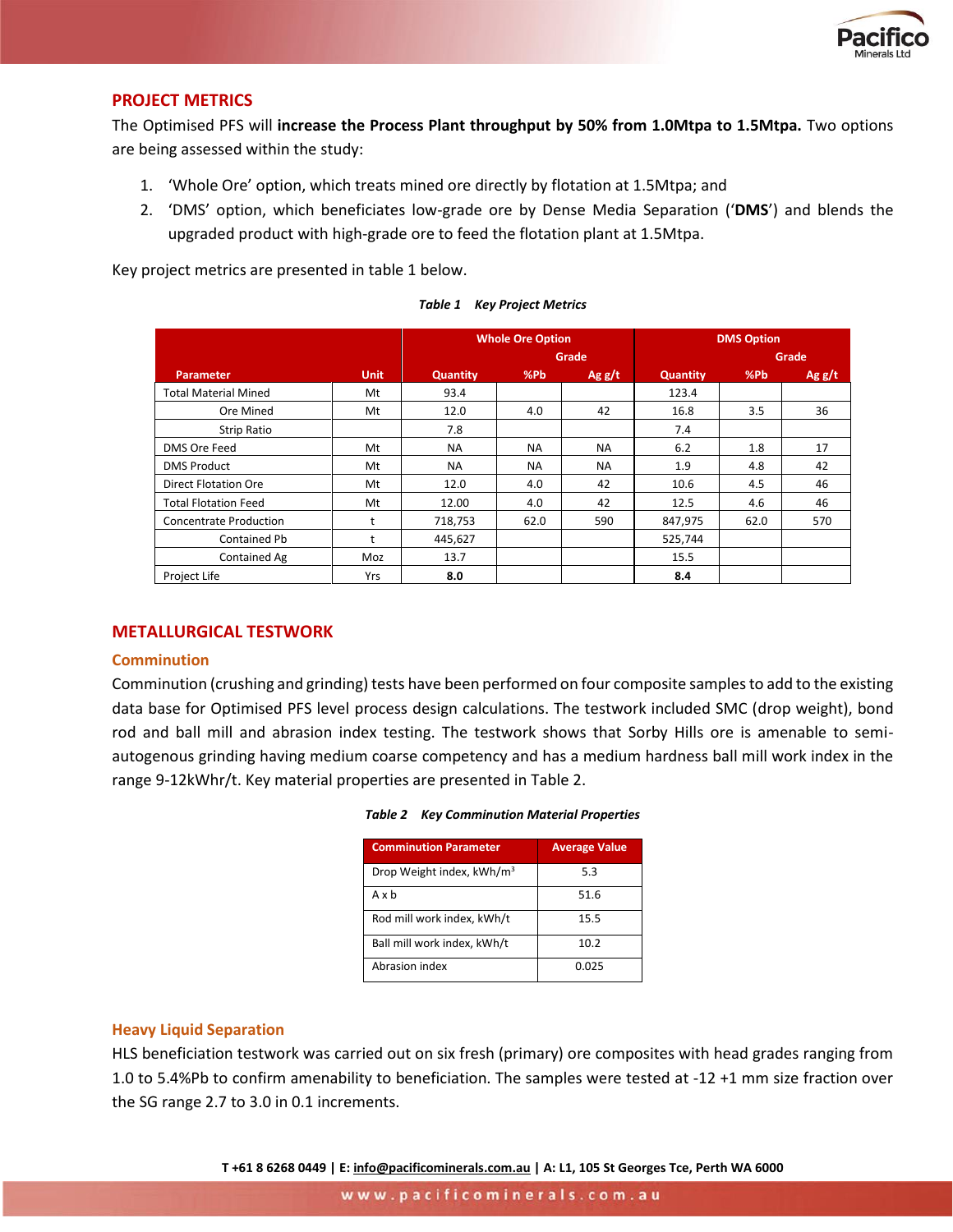

## **PROJECT METRICS**

The Optimised PFS will **increase the Process Plant throughput by 50% from 1.0Mtpa to 1.5Mtpa.** Two options are being assessed within the study:

- 1. 'Whole Ore' option, which treats mined ore directly by flotation at 1.5Mtpa; and
- 2. 'DMS' option, which beneficiates low-grade ore by Dense Media Separation ('**DMS**') and blends the upgraded product with high-grade ore to feed the flotation plant at 1.5Mtpa.

Key project metrics are presented in table 1 below.

|                               |             |                 | <b>Whole Ore Option</b> |           | <b>DMS Option</b> |      |       |  |
|-------------------------------|-------------|-----------------|-------------------------|-----------|-------------------|------|-------|--|
|                               |             |                 |                         | Grade     |                   |      | Grade |  |
| <b>Parameter</b>              | <b>Unit</b> | <b>Quantity</b> | %Pb                     | Agg/t     | <b>Quantity</b>   | %Pb  | Agg/t |  |
| <b>Total Material Mined</b>   | Mt          | 93.4            |                         |           | 123.4             |      |       |  |
| Ore Mined                     | Mt          | 12.0            | 4.0                     | 42        | 16.8              | 3.5  | 36    |  |
| <b>Strip Ratio</b>            |             | 7.8             |                         |           | 7.4               |      |       |  |
| DMS Ore Feed                  | Mt          | <b>NA</b>       | <b>NA</b>               | <b>NA</b> | 6.2               | 1.8  | 17    |  |
| <b>DMS Product</b>            | Mt          | <b>NA</b>       | <b>NA</b>               | <b>NA</b> | 1.9               | 4.8  | 42    |  |
| Direct Flotation Ore          | Mt          | 12.0            | 4.0                     | 42        | 10.6              | 4.5  | 46    |  |
| <b>Total Flotation Feed</b>   | Mt          | 12.00           | 4.0                     | 42        | 12.5              | 4.6  | 46    |  |
| <b>Concentrate Production</b> | t           | 718,753         | 62.0                    | 590       | 847,975           | 62.0 | 570   |  |
| <b>Contained Pb</b>           | t           | 445,627         |                         |           | 525,744           |      |       |  |
| Contained Ag                  | Moz         | 13.7            |                         |           | 15.5              |      |       |  |
| Project Life                  | Yrs         | 8.0             |                         |           | 8.4               |      |       |  |

#### **METALLURGICAL TESTWORK**

#### **Comminution**

Comminution (crushing and grinding) tests have been performed on four composite samples to add to the existing data base for Optimised PFS level process design calculations. The testwork included SMC (drop weight), bond rod and ball mill and abrasion index testing. The testwork shows that Sorby Hills ore is amenable to semiautogenous grinding having medium coarse competency and has a medium hardness ball mill work index in the range 9-12kWhr/t. Key material properties are presented in Table 2.

|  | <b>Table 2 Key Comminution Material Properties</b> |  |  |
|--|----------------------------------------------------|--|--|
|--|----------------------------------------------------|--|--|

| <b>Comminution Parameter</b>          | <b>Average Value</b> |
|---------------------------------------|----------------------|
| Drop Weight index, kWh/m <sup>3</sup> | 5.3                  |
| Axb                                   | 51.6                 |
| Rod mill work index, kWh/t            | 15.5                 |
| Ball mill work index, kWh/t           | 10.2                 |
| Abrasion index                        | 0.025                |

#### **Heavy Liquid Separation**

HLS beneficiation testwork was carried out on six fresh (primary) ore composites with head grades ranging from 1.0 to 5.4%Pb to confirm amenability to beneficiation. The samples were tested at -12 +1 mm size fraction over the SG range 2.7 to 3.0 in 0.1 increments.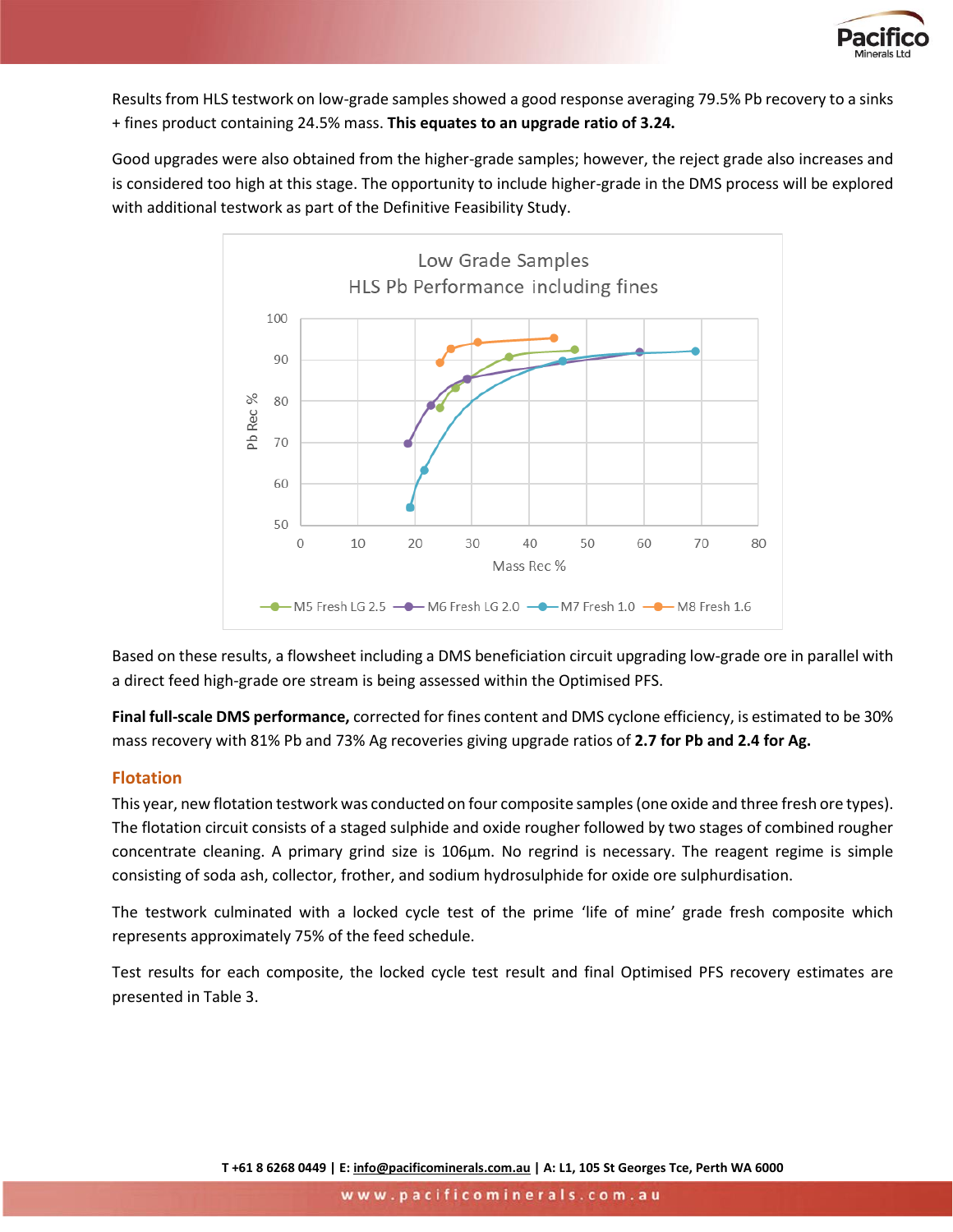

Results from HLS testwork on low-grade samples showed a good response averaging 79.5% Pb recovery to a sinks + fines product containing 24.5% mass. **This equates to an upgrade ratio of 3.24.**

Good upgrades were also obtained from the higher-grade samples; however, the reject grade also increases and is considered too high at this stage. The opportunity to include higher-grade in the DMS process will be explored with additional testwork as part of the Definitive Feasibility Study.



Based on these results, a flowsheet including a DMS beneficiation circuit upgrading low-grade ore in parallel with a direct feed high-grade ore stream is being assessed within the Optimised PFS.

**Final full-scale DMS performance,** corrected for fines content and DMS cyclone efficiency, is estimated to be 30% mass recovery with 81% Pb and 73% Ag recoveries giving upgrade ratios of **2.7 for Pb and 2.4 for Ag.**

## **Flotation**

This year, new flotation testwork was conducted on four composite samples (one oxide and three fresh ore types). The flotation circuit consists of a staged sulphide and oxide rougher followed by two stages of combined rougher concentrate cleaning. A primary grind size is 106μm. No regrind is necessary. The reagent regime is simple consisting of soda ash, collector, frother, and sodium hydrosulphide for oxide ore sulphurdisation.

The testwork culminated with a locked cycle test of the prime 'life of mine' grade fresh composite which represents approximately 75% of the feed schedule.

Test results for each composite, the locked cycle test result and final Optimised PFS recovery estimates are presented in [Table 3.](#page-3-0)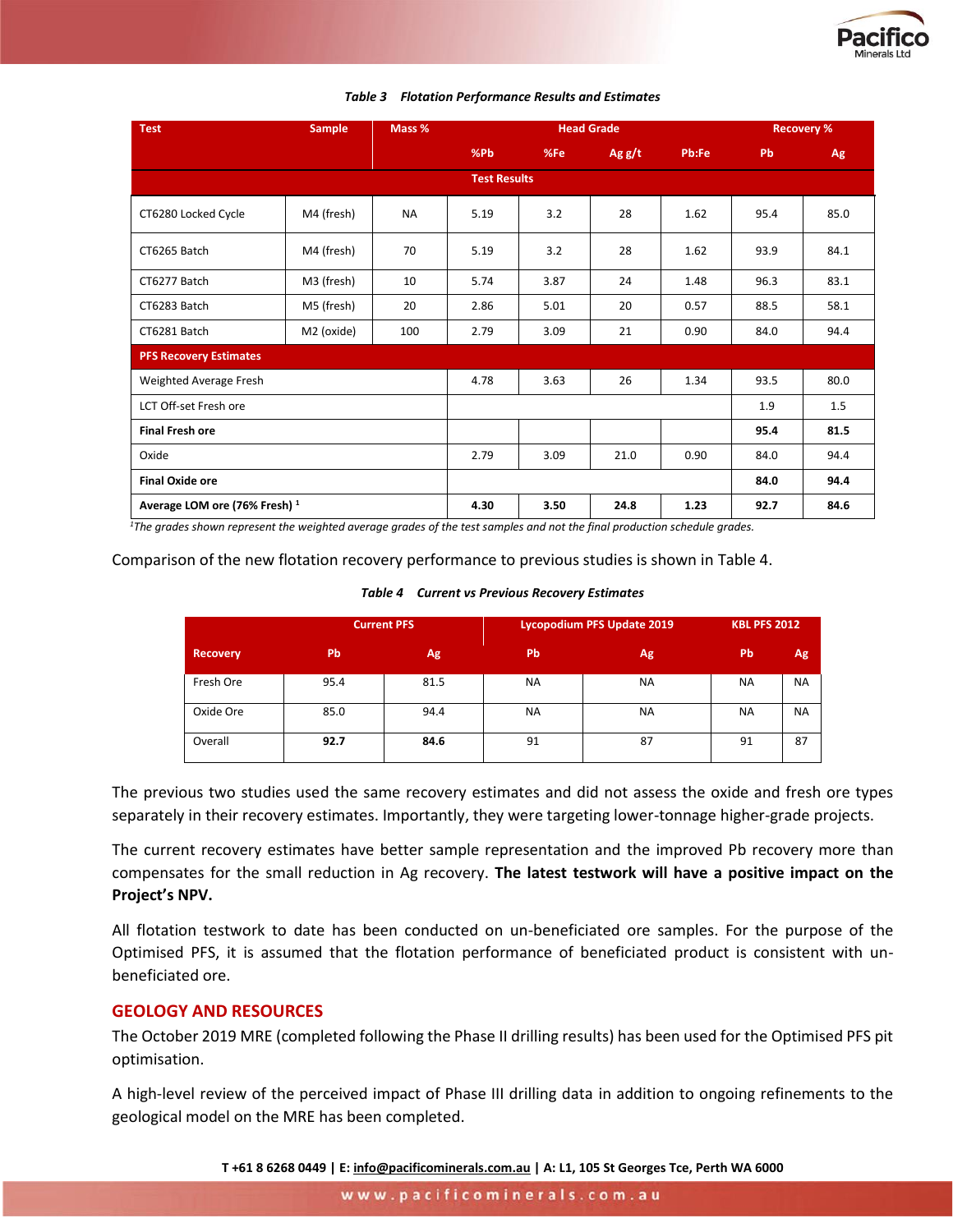

<span id="page-3-0"></span>

| <b>Test</b>                              | <b>Sample</b> | Mass %    | <b>Head Grade</b>   |      |          |       |      | <b>Recovery %</b> |  |
|------------------------------------------|---------------|-----------|---------------------|------|----------|-------|------|-------------------|--|
|                                          |               |           | %Pb                 | %Fe  | Ag $g/t$ | Pb:Fe | Pb   | Ag                |  |
|                                          |               |           | <b>Test Results</b> |      |          |       |      |                   |  |
| CT6280 Locked Cycle                      | M4 (fresh)    | <b>NA</b> | 5.19                | 3.2  | 28       | 1.62  | 95.4 | 85.0              |  |
| CT6265 Batch                             | M4 (fresh)    | 70        | 5.19                | 3.2  | 28       | 1.62  | 93.9 | 84.1              |  |
| CT6277 Batch                             | M3 (fresh)    | 10        | 5.74                | 3.87 | 24       | 1.48  | 96.3 | 83.1              |  |
| CT6283 Batch                             | M5 (fresh)    | 20        | 2.86                | 5.01 | 20       | 0.57  | 88.5 | 58.1              |  |
| CT6281 Batch                             | M2 (oxide)    | 100       | 2.79                | 3.09 | 21       | 0.90  | 84.0 | 94.4              |  |
| <b>PFS Recovery Estimates</b>            |               |           |                     |      |          |       |      |                   |  |
| Weighted Average Fresh                   |               |           | 4.78                | 3.63 | 26       | 1.34  | 93.5 | 80.0              |  |
| LCT Off-set Fresh ore                    |               |           |                     |      |          |       | 1.9  | 1.5               |  |
| <b>Final Fresh ore</b>                   |               |           |                     |      |          |       | 95.4 | 81.5              |  |
| Oxide                                    |               |           | 2.79                | 3.09 | 21.0     | 0.90  | 84.0 | 94.4              |  |
| <b>Final Oxide ore</b>                   |               |           |                     |      |          |       | 84.0 | 94.4              |  |
| Average LOM ore (76% Fresh) <sup>1</sup> |               |           | 4.30                | 3.50 | 24.8     | 1.23  | 92.7 | 84.6              |  |

#### *Table 3 Flotation Performance Results and Estimates*

*<sup>1</sup>The grades shown represent the weighted average grades of the test samples and not the final production schedule grades.*

#### <span id="page-3-1"></span>Comparison of the new flotation recovery performance to previous studies is shown in [Table 4.](#page-3-1)

#### *Table 4 Current vs Previous Recovery Estimates*

|                 |      | <b>Current PFS</b> | Lycopodium PFS Update 2019 | <b>KBL PFS 2012</b> |                |           |
|-----------------|------|--------------------|----------------------------|---------------------|----------------|-----------|
| <b>Recovery</b> | Pb   | Ag                 | Pb                         | Ag,                 | P <sub>b</sub> | Ag        |
| Fresh Ore       | 95.4 | 81.5               | <b>NA</b>                  | <b>NA</b>           | <b>NA</b>      | <b>NA</b> |
| Oxide Ore       | 85.0 | 94.4               | <b>NA</b>                  | <b>NA</b>           | <b>NA</b>      | <b>NA</b> |
| Overall         | 92.7 | 84.6               | 91                         | 87                  | 91             | 87        |

The previous two studies used the same recovery estimates and did not assess the oxide and fresh ore types separately in their recovery estimates. Importantly, they were targeting lower-tonnage higher-grade projects.

The current recovery estimates have better sample representation and the improved Pb recovery more than compensates for the small reduction in Ag recovery. **The latest testwork will have a positive impact on the Project's NPV.**

All flotation testwork to date has been conducted on un-beneficiated ore samples. For the purpose of the Optimised PFS, it is assumed that the flotation performance of beneficiated product is consistent with unbeneficiated ore.

## **GEOLOGY AND RESOURCES**

The October 2019 MRE (completed following the Phase II drilling results) has been used for the Optimised PFS pit optimisation.

A high-level review of the perceived impact of Phase III drilling data in addition to ongoing refinements to the geological model on the MRE has been completed.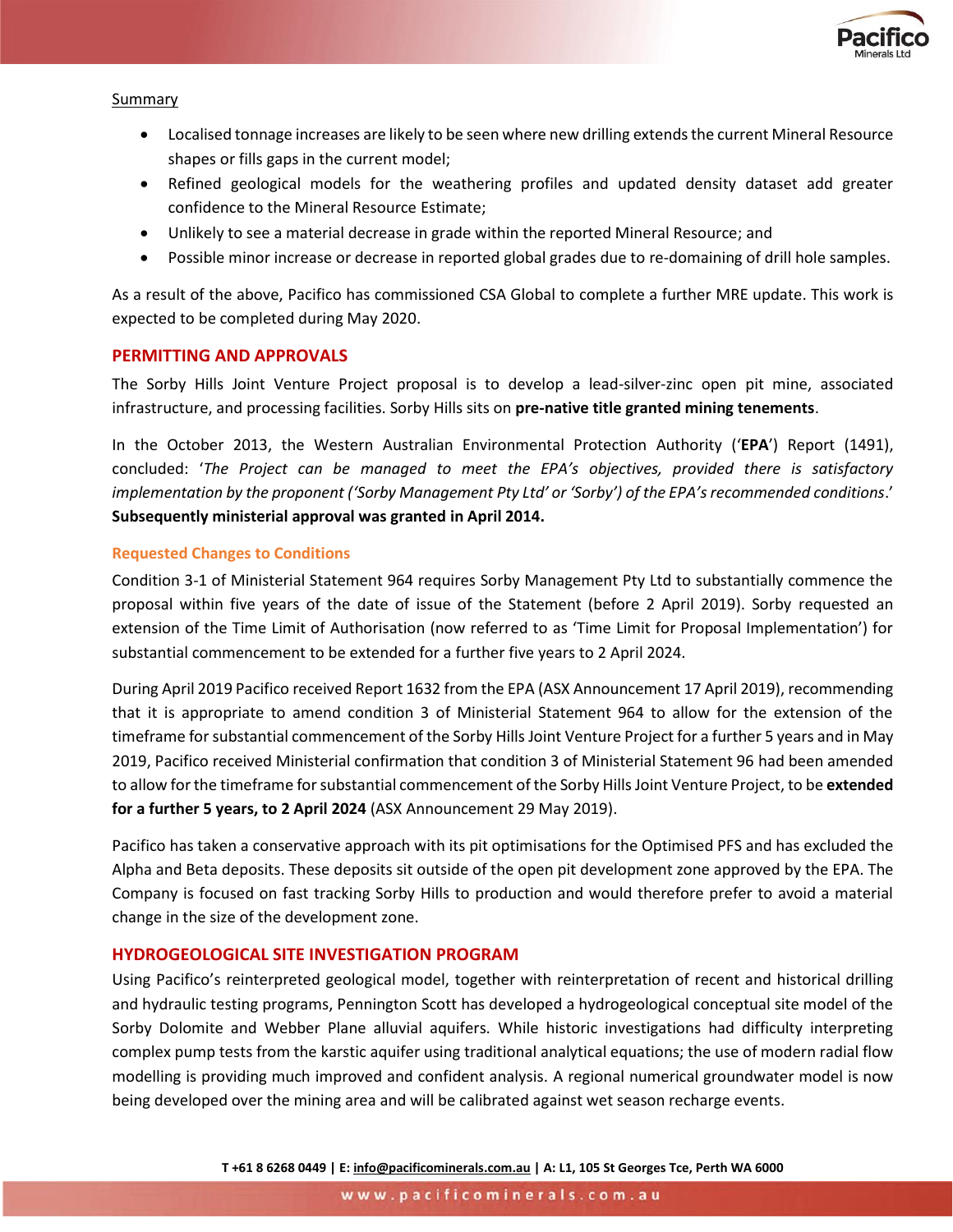

#### Summary

- Localised tonnage increases are likely to be seen where new drilling extends the current Mineral Resource shapes or fills gaps in the current model;
- Refined geological models for the weathering profiles and updated density dataset add greater confidence to the Mineral Resource Estimate;
- Unlikely to see a material decrease in grade within the reported Mineral Resource; and
- Possible minor increase or decrease in reported global grades due to re-domaining of drill hole samples.

As a result of the above, Pacifico has commissioned CSA Global to complete a further MRE update. This work is expected to be completed during May 2020.

## **PERMITTING AND APPROVALS**

The Sorby Hills Joint Venture Project proposal is to develop a lead-silver-zinc open pit mine, associated infrastructure, and processing facilities. Sorby Hills sits on **pre-native title granted mining tenements**.

In the October 2013, the Western Australian Environmental Protection Authority ('**EPA**') Report (1491), concluded: '*The Project can be managed to meet the EPA's objectives, provided there is satisfactory implementation by the proponent ('Sorby Management Pty Ltd' or 'Sorby') of the EPA's recommended conditions*.' **Subsequently ministerial approval was granted in April 2014.**

#### **Requested Changes to Conditions**

Condition 3-1 of Ministerial Statement 964 requires Sorby Management Pty Ltd to substantially commence the proposal within five years of the date of issue of the Statement (before 2 April 2019). Sorby requested an extension of the Time Limit of Authorisation (now referred to as 'Time Limit for Proposal Implementation') for substantial commencement to be extended for a further five years to 2 April 2024.

During April 2019 Pacifico received Report 1632 from the EPA (ASX Announcement 17 April 2019), recommending that it is appropriate to amend condition 3 of Ministerial Statement 964 to allow for the extension of the timeframe for substantial commencement of the Sorby Hills Joint Venture Project for a further 5 years and in May 2019, Pacifico received Ministerial confirmation that condition 3 of Ministerial Statement 96 had been amended to allow for the timeframe for substantial commencement of the Sorby Hills Joint Venture Project, to be **extended for a further 5 years, to 2 April 2024** (ASX Announcement 29 May 2019).

Pacifico has taken a conservative approach with its pit optimisations for the Optimised PFS and has excluded the Alpha and Beta deposits. These deposits sit outside of the open pit development zone approved by the EPA. The Company is focused on fast tracking Sorby Hills to production and would therefore prefer to avoid a material change in the size of the development zone.

## **HYDROGEOLOGICAL SITE INVESTIGATION PROGRAM**

Using Pacifico's reinterpreted geological model, together with reinterpretation of recent and historical drilling and hydraulic testing programs, Pennington Scott has developed a hydrogeological conceptual site model of the Sorby Dolomite and Webber Plane alluvial aquifers. While historic investigations had difficulty interpreting complex pump tests from the karstic aquifer using traditional analytical equations; the use of modern radial flow modelling is providing much improved and confident analysis. A regional numerical groundwater model is now being developed over the mining area and will be calibrated against wet season recharge events.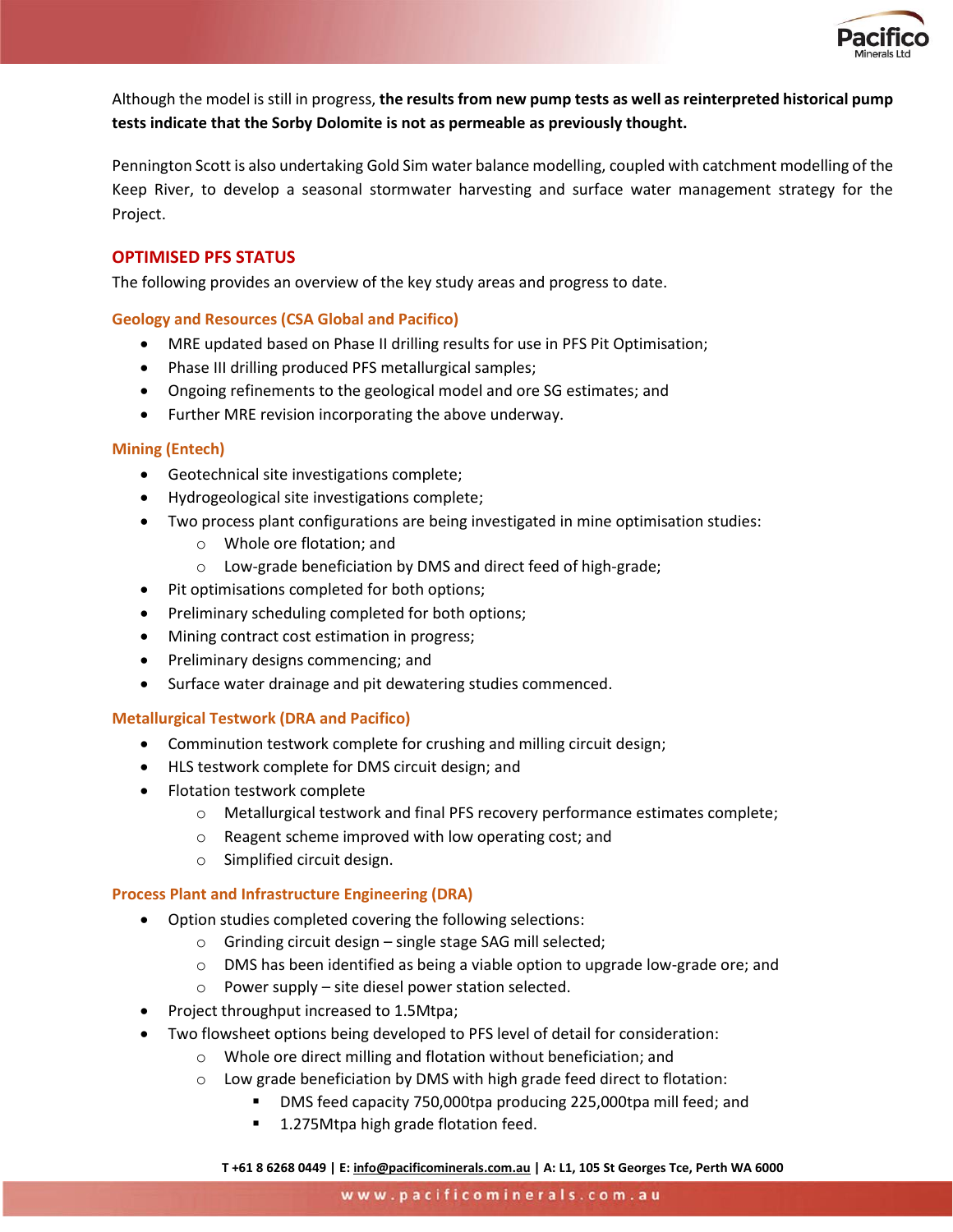

Although the model is still in progress, **the results from new pump tests as well as reinterpreted historical pump tests indicate that the Sorby Dolomite is not as permeable as previously thought.**

Pennington Scott is also undertaking Gold Sim water balance modelling, coupled with catchment modelling of the Keep River, to develop a seasonal stormwater harvesting and surface water management strategy for the Project.

## **OPTIMISED PFS STATUS**

The following provides an overview of the key study areas and progress to date.

## **Geology and Resources (CSA Global and Pacifico)**

- MRE updated based on Phase II drilling results for use in PFS Pit Optimisation;
- Phase III drilling produced PFS metallurgical samples;
- Ongoing refinements to the geological model and ore SG estimates; and
- Further MRE revision incorporating the above underway.

## **Mining (Entech)**

- Geotechnical site investigations complete;
- Hydrogeological site investigations complete;
- Two process plant configurations are being investigated in mine optimisation studies:
	- o Whole ore flotation; and
	- o Low-grade beneficiation by DMS and direct feed of high-grade;
- Pit optimisations completed for both options;
- Preliminary scheduling completed for both options;
- Mining contract cost estimation in progress;
- Preliminary designs commencing; and
- Surface water drainage and pit dewatering studies commenced.

#### **Metallurgical Testwork (DRA and Pacifico)**

- Comminution testwork complete for crushing and milling circuit design;
- HLS testwork complete for DMS circuit design; and
- Flotation testwork complete
	- o Metallurgical testwork and final PFS recovery performance estimates complete;
	- o Reagent scheme improved with low operating cost; and
	- o Simplified circuit design.

#### **Process Plant and Infrastructure Engineering (DRA)**

- Option studies completed covering the following selections:
	- o Grinding circuit design single stage SAG mill selected;
	- $\circ$  DMS has been identified as being a viable option to upgrade low-grade ore; and
	- o Power supply site diesel power station selected.
- Project throughput increased to 1.5Mtpa;
- Two flowsheet options being developed to PFS level of detail for consideration:
	- o Whole ore direct milling and flotation without beneficiation; and
	- o Low grade beneficiation by DMS with high grade feed direct to flotation:
		- DMS feed capacity 750,000tpa producing 225,000tpa mill feed; and
		- 1.275Mtpa high grade flotation feed.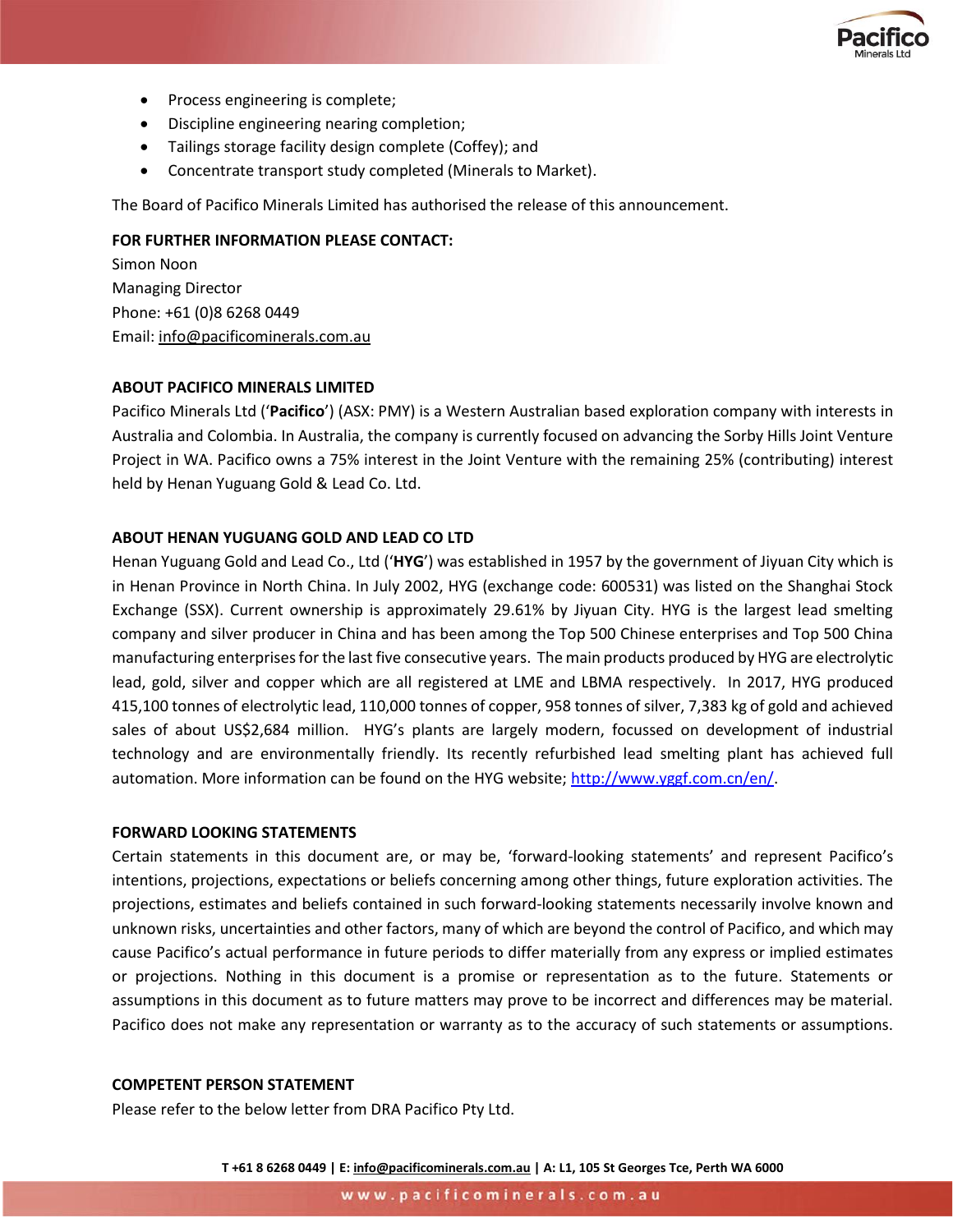

- Process engineering is complete;
- Discipline engineering nearing completion;
- Tailings storage facility design complete (Coffey); and
- Concentrate transport study completed (Minerals to Market).

The Board of Pacifico Minerals Limited has authorised the release of this announcement.

## **FOR FURTHER INFORMATION PLEASE CONTACT:**

Simon Noon Managing Director Phone: +61 (0)8 6268 0449 Email: [info@pacificominerals.com.au](mailto:info@pacificominerals.com.au)

## **ABOUT PACIFICO MINERALS LIMITED**

Pacifico Minerals Ltd ('**Pacifico**') (ASX: PMY) is a Western Australian based exploration company with interests in Australia and Colombia. In Australia, the company is currently focused on advancing the Sorby Hills Joint Venture Project in WA. Pacifico owns a 75% interest in the Joint Venture with the remaining 25% (contributing) interest held by Henan Yuguang Gold & Lead Co. Ltd.

## **ABOUT HENAN YUGUANG GOLD AND LEAD CO LTD**

Henan Yuguang Gold and Lead Co., Ltd ('**HYG**') was established in 1957 by the government of Jiyuan City which is in Henan Province in North China. In July 2002, HYG (exchange code: 600531) was listed on the Shanghai Stock Exchange (SSX). Current ownership is approximately 29.61% by Jiyuan City. HYG is the largest lead smelting company and silver producer in China and has been among the Top 500 Chinese enterprises and Top 500 China manufacturing enterprises for the last five consecutive years. The main products produced by HYG are electrolytic lead, gold, silver and copper which are all registered at LME and LBMA respectively. In 2017, HYG produced 415,100 tonnes of electrolytic lead, 110,000 tonnes of copper, 958 tonnes of silver, 7,383 kg of gold and achieved sales of about US\$2,684 million. HYG's plants are largely modern, focussed on development of industrial technology and are environmentally friendly. Its recently refurbished lead smelting plant has achieved full automation. More information can be found on the HYG website; http://www.yggf.com.cn/en/.

#### **FORWARD LOOKING STATEMENTS**

Certain statements in this document are, or may be, 'forward-looking statements' and represent Pacifico's intentions, projections, expectations or beliefs concerning among other things, future exploration activities. The projections, estimates and beliefs contained in such forward-looking statements necessarily involve known and unknown risks, uncertainties and other factors, many of which are beyond the control of Pacifico, and which may cause Pacifico's actual performance in future periods to differ materially from any express or implied estimates or projections. Nothing in this document is a promise or representation as to the future. Statements or assumptions in this document as to future matters may prove to be incorrect and differences may be material. Pacifico does not make any representation or warranty as to the accuracy of such statements or assumptions.

## **COMPETENT PERSON STATEMENT**

Please refer to the below letter from DRA Pacifico Pty Ltd.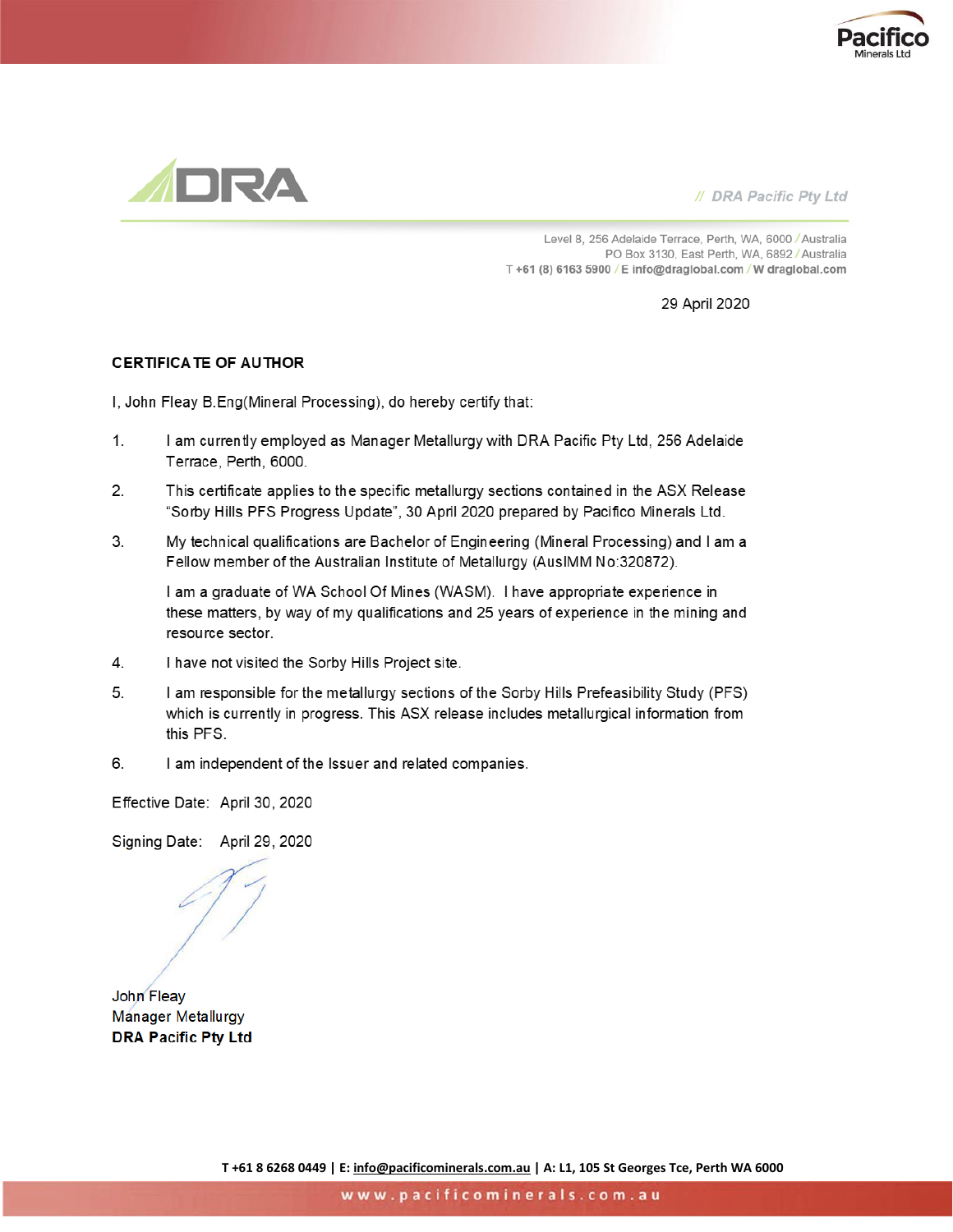



// DRA Pacific Pty Ltd

Level 8, 256 Adelaide Terrace, Perth, WA, 6000 / Australia PO Box 3130, East Perth, WA, 6892 / Australia T+61 (8) 6163 5900 / E info@draglobal.com / W draglobal.com

29 April 2020

#### **CERTIFICATE OF AUTHOR**

I, John Fleay B.Eng(Mineral Processing), do hereby certify that:

- $1<sup>1</sup>$ I am currently employed as Manager Metallurgy with DRA Pacific Pty Ltd, 256 Adelaide Terrace, Perth, 6000.
- $2.$ This certificate applies to the specific metallurgy sections contained in the ASX Release "Sorby Hills PFS Progress Update", 30 April 2020 prepared by Pacifico Minerals Ltd.
- 3. My technical qualifications are Bachelor of Engineering (Mineral Processing) and I am a Fellow member of the Australian Institute of Metallurgy (AusIMM No:320872).

I am a graduate of WA School Of Mines (WASM). I have appropriate experience in these matters, by way of my qualifications and 25 years of experience in the mining and resource sector.

- 4. I have not visited the Sorby Hills Project site.
- 5. I am responsible for the metallurgy sections of the Sorby Hills Prefeasibility Study (PFS) which is currently in progress. This ASX release includes metallurgical information from this PFS.
- 6. I am independent of the Issuer and related companies.

Effective Date: April 30, 2020

Signing Date: April 29, 2020

John Fleay **Manager Metallurgy DRA Pacific Pty Ltd**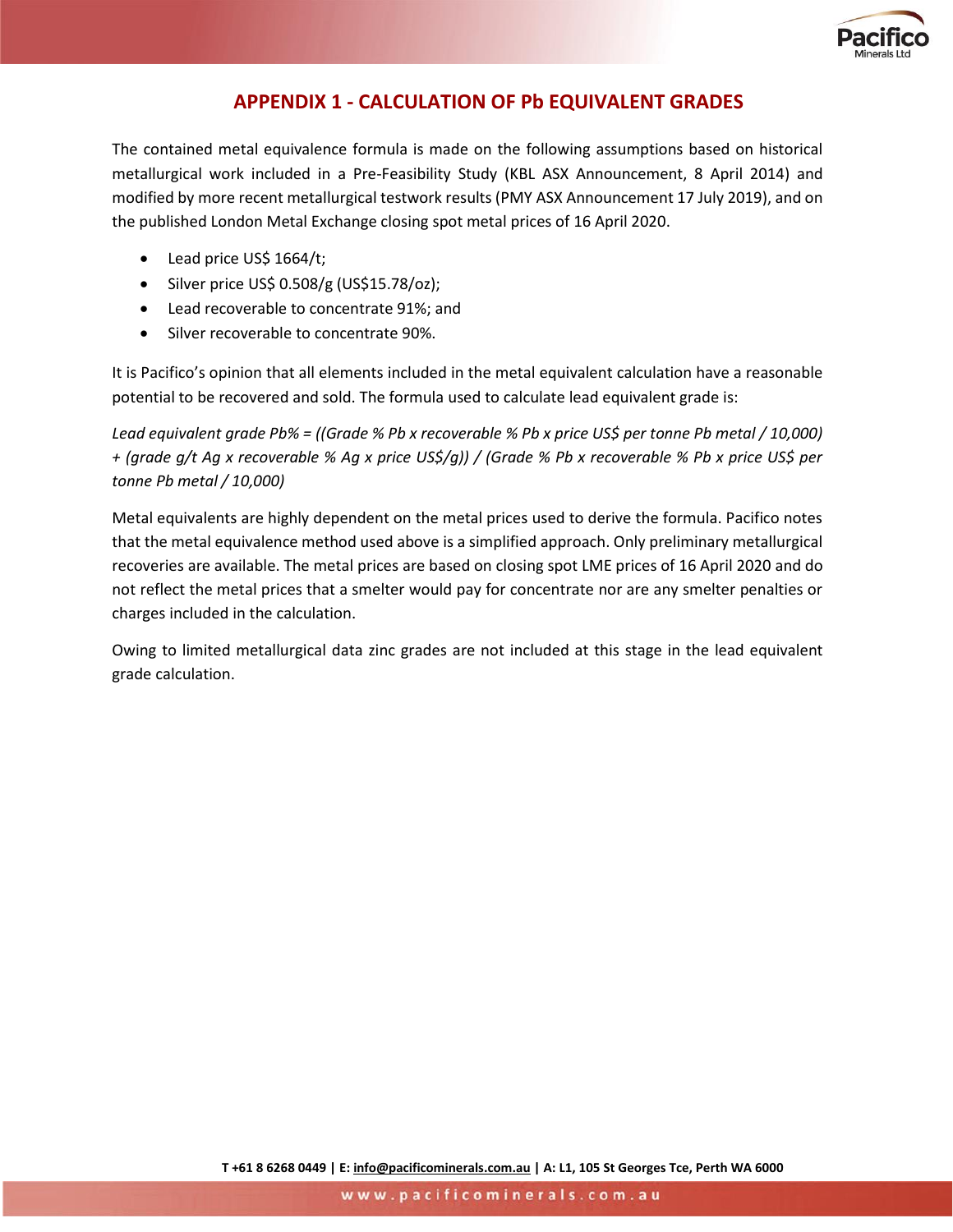

## **APPENDIX 1 - CALCULATION OF Pb EQUIVALENT GRADES**

The contained metal equivalence formula is made on the following assumptions based on historical metallurgical work included in a Pre-Feasibility Study (KBL ASX Announcement, 8 April 2014) and modified by more recent metallurgical testwork results (PMY ASX Announcement 17 July 2019), and on the published London Metal Exchange closing spot metal prices of 16 April 2020.

- Lead price US\$ 1664/t;
- Silver price US\$  $0.508/g$  (US\$15.78/oz);
- Lead recoverable to concentrate 91%; and
- Silver recoverable to concentrate 90%.

It is Pacifico's opinion that all elements included in the metal equivalent calculation have a reasonable potential to be recovered and sold. The formula used to calculate lead equivalent grade is:

*Lead equivalent grade Pb% = ((Grade % Pb x recoverable % Pb x price US\$ per tonne Pb metal / 10,000) + (grade g/t Ag x recoverable % Ag x price US\$/g)) / (Grade % Pb x recoverable % Pb x price US\$ per tonne Pb metal / 10,000)*

Metal equivalents are highly dependent on the metal prices used to derive the formula. Pacifico notes that the metal equivalence method used above is a simplified approach. Only preliminary metallurgical recoveries are available. The metal prices are based on closing spot LME prices of 16 April 2020 and do not reflect the metal prices that a smelter would pay for concentrate nor are any smelter penalties or charges included in the calculation.

Owing to limited metallurgical data zinc grades are not included at this stage in the lead equivalent grade calculation.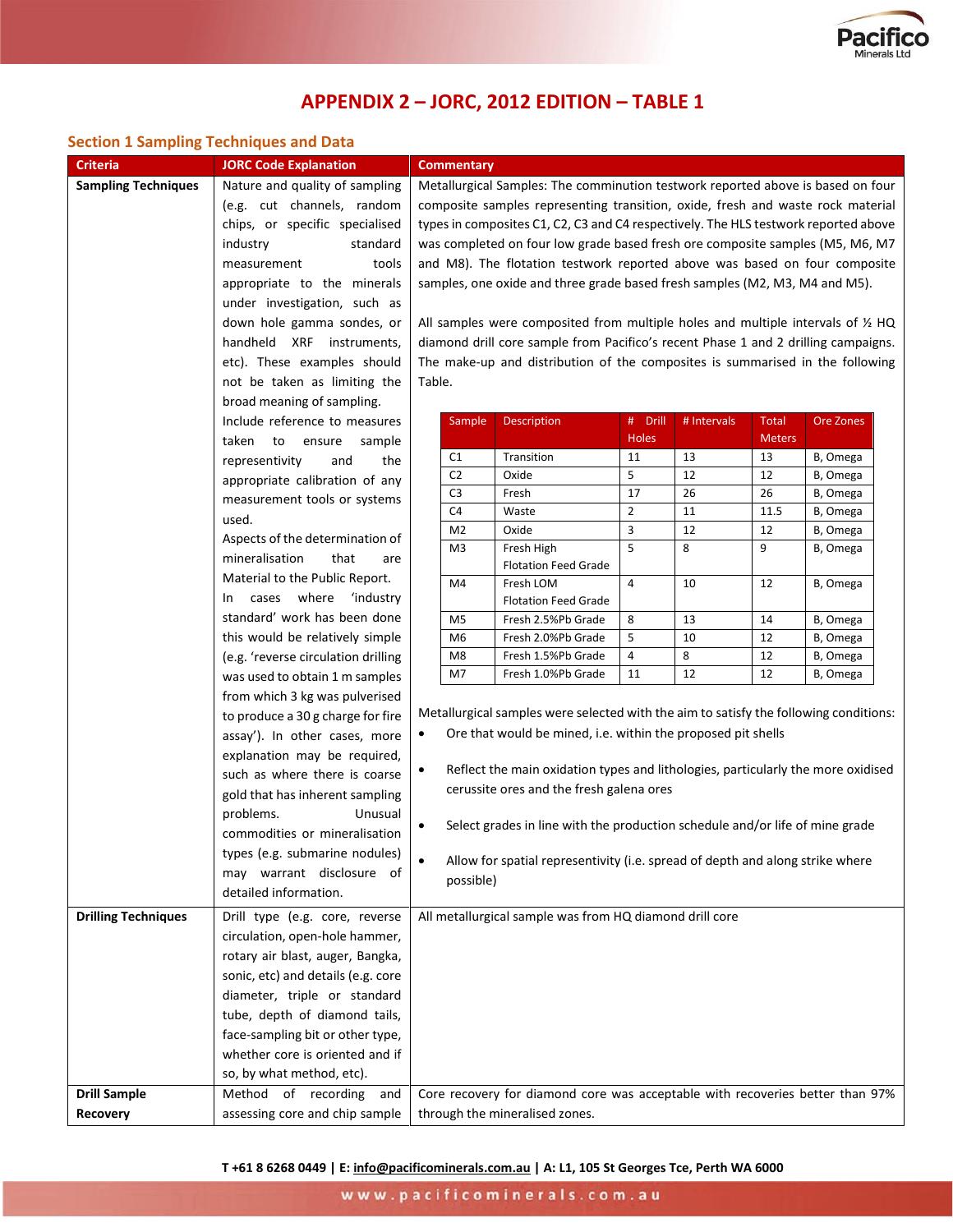

# **APPENDIX 2 – JORC, 2012 EDITION – TABLE 1**

## **Section 1 Sampling Techniques and Data**

| <b>Criteria</b>            | <b>JORC Code Explanation</b>        | <b>Commentary</b>                                                               |                                                                                     |                                                                                            |                |           |               |          |
|----------------------------|-------------------------------------|---------------------------------------------------------------------------------|-------------------------------------------------------------------------------------|--------------------------------------------------------------------------------------------|----------------|-----------|---------------|----------|
| <b>Sampling Techniques</b> | Nature and quality of sampling      | Metallurgical Samples: The comminution testwork reported above is based on four |                                                                                     |                                                                                            |                |           |               |          |
|                            | (e.g. cut channels, random          |                                                                                 |                                                                                     | composite samples representing transition, oxide, fresh and waste rock material            |                |           |               |          |
|                            | chips, or specific specialised      |                                                                                 | types in composites C1, C2, C3 and C4 respectively. The HLS testwork reported above |                                                                                            |                |           |               |          |
|                            | industry<br>standard                |                                                                                 | was completed on four low grade based fresh ore composite samples (M5, M6, M7       |                                                                                            |                |           |               |          |
|                            | measurement<br>tools                |                                                                                 | and M8). The flotation testwork reported above was based on four composite          |                                                                                            |                |           |               |          |
|                            | appropriate to the minerals         |                                                                                 |                                                                                     | samples, one oxide and three grade based fresh samples (M2, M3, M4 and M5).                |                |           |               |          |
|                            | under investigation, such as        |                                                                                 |                                                                                     |                                                                                            |                |           |               |          |
|                            | down hole gamma sondes, or          |                                                                                 |                                                                                     | All samples were composited from multiple holes and multiple intervals of $\frac{1}{2}$ HQ |                |           |               |          |
|                            | handheld XRF instruments,           |                                                                                 |                                                                                     | diamond drill core sample from Pacifico's recent Phase 1 and 2 drilling campaigns.         |                |           |               |          |
|                            | etc). These examples should         | The make-up and distribution of the composites is summarised in the following   |                                                                                     |                                                                                            |                |           |               |          |
|                            | not be taken as limiting the        | Table.                                                                          |                                                                                     |                                                                                            |                |           |               |          |
|                            | broad meaning of sampling.          |                                                                                 |                                                                                     |                                                                                            |                |           |               |          |
|                            | Include reference to measures       | Description<br># Drill<br># Intervals<br><b>Total</b><br>Sample                 |                                                                                     |                                                                                            |                | Ore Zones |               |          |
|                            | taken to ensure<br>sample           |                                                                                 |                                                                                     |                                                                                            | Holes          |           | <b>Meters</b> |          |
|                            | representivity<br>and<br>the        |                                                                                 | C1                                                                                  | Transition                                                                                 | 11             | 13        | 13            | B, Omega |
|                            | appropriate calibration of any      |                                                                                 | C <sub>2</sub>                                                                      | Oxide                                                                                      | 5              | 12        | 12            | B, Omega |
|                            | measurement tools or systems        |                                                                                 | C <sub>3</sub>                                                                      | Fresh                                                                                      | 17             | 26        | 26            | B, Omega |
|                            | used.                               |                                                                                 | C <sub>4</sub>                                                                      | Waste                                                                                      | $\overline{2}$ | $11\,$    | 11.5          | B, Omega |
|                            | Aspects of the determination of     |                                                                                 | M <sub>2</sub>                                                                      | Oxide                                                                                      | 3              | 12        | 12            | B, Omega |
|                            | mineralisation<br>that<br>are       |                                                                                 | M <sub>3</sub>                                                                      | Fresh High                                                                                 | 5              | 8         | 9             | B, Omega |
|                            | Material to the Public Report.      |                                                                                 |                                                                                     | <b>Flotation Feed Grade</b>                                                                |                |           |               |          |
|                            | cases where 'industry<br>In         |                                                                                 | M4                                                                                  | Fresh LOM<br><b>Flotation Feed Grade</b>                                                   | $\sqrt{4}$     | 10        | 12            | B, Omega |
|                            | standard' work has been done        |                                                                                 | M <sub>5</sub>                                                                      | Fresh 2.5%Pb Grade                                                                         | 8              | 13        | 14            | B, Omega |
|                            | this would be relatively simple     |                                                                                 | M <sub>6</sub>                                                                      | Fresh 2.0%Pb Grade                                                                         | 5              | 10        | 12            | B, Omega |
|                            | (e.g. 'reverse circulation drilling |                                                                                 | M <sub>8</sub>                                                                      | Fresh 1.5%Pb Grade                                                                         | 4              | 8         | 12            | B, Omega |
|                            | was used to obtain 1 m samples      |                                                                                 | M7                                                                                  | Fresh 1.0%Pb Grade                                                                         | 11             | 12        | 12            | B, Omega |
|                            | from which 3 kg was pulverised      |                                                                                 |                                                                                     |                                                                                            |                |           |               |          |
|                            | to produce a 30 g charge for fire   |                                                                                 |                                                                                     | Metallurgical samples were selected with the aim to satisfy the following conditions:      |                |           |               |          |
|                            | assay'). In other cases, more       |                                                                                 |                                                                                     | Ore that would be mined, i.e. within the proposed pit shells                               |                |           |               |          |
|                            | explanation may be required,        |                                                                                 |                                                                                     |                                                                                            |                |           |               |          |
|                            | such as where there is coarse       | $\bullet$                                                                       |                                                                                     | Reflect the main oxidation types and lithologies, particularly the more oxidised           |                |           |               |          |
|                            | gold that has inherent sampling     |                                                                                 |                                                                                     | cerussite ores and the fresh galena ores                                                   |                |           |               |          |
|                            | problems.<br>Unusual                |                                                                                 |                                                                                     |                                                                                            |                |           |               |          |
|                            | commodities or mineralisation       |                                                                                 |                                                                                     | Select grades in line with the production schedule and/or life of mine grade               |                |           |               |          |
|                            | types (e.g. submarine nodules)      |                                                                                 |                                                                                     |                                                                                            |                |           |               |          |
|                            | may warrant disclosure of           |                                                                                 |                                                                                     | Allow for spatial representivity (i.e. spread of depth and along strike where              |                |           |               |          |
|                            | detailed information.               |                                                                                 | possible)                                                                           |                                                                                            |                |           |               |          |
| <b>Drilling Techniques</b> | Drill type (e.g. core, reverse      |                                                                                 |                                                                                     | All metallurgical sample was from HQ diamond drill core                                    |                |           |               |          |
|                            | circulation, open-hole hammer,      |                                                                                 |                                                                                     |                                                                                            |                |           |               |          |
|                            | rotary air blast, auger, Bangka,    |                                                                                 |                                                                                     |                                                                                            |                |           |               |          |
|                            | sonic, etc) and details (e.g. core  |                                                                                 |                                                                                     |                                                                                            |                |           |               |          |
|                            | diameter, triple or standard        |                                                                                 |                                                                                     |                                                                                            |                |           |               |          |
|                            | tube, depth of diamond tails,       |                                                                                 |                                                                                     |                                                                                            |                |           |               |          |
|                            | face-sampling bit or other type,    |                                                                                 |                                                                                     |                                                                                            |                |           |               |          |
|                            | whether core is oriented and if     |                                                                                 |                                                                                     |                                                                                            |                |           |               |          |
|                            | so, by what method, etc).           |                                                                                 |                                                                                     |                                                                                            |                |           |               |          |
| <b>Drill Sample</b>        | Method of recording<br>and          |                                                                                 |                                                                                     | Core recovery for diamond core was acceptable with recoveries better than 97%              |                |           |               |          |
| Recovery                   | assessing core and chip sample      |                                                                                 |                                                                                     |                                                                                            |                |           |               |          |
|                            |                                     | through the mineralised zones.                                                  |                                                                                     |                                                                                            |                |           |               |          |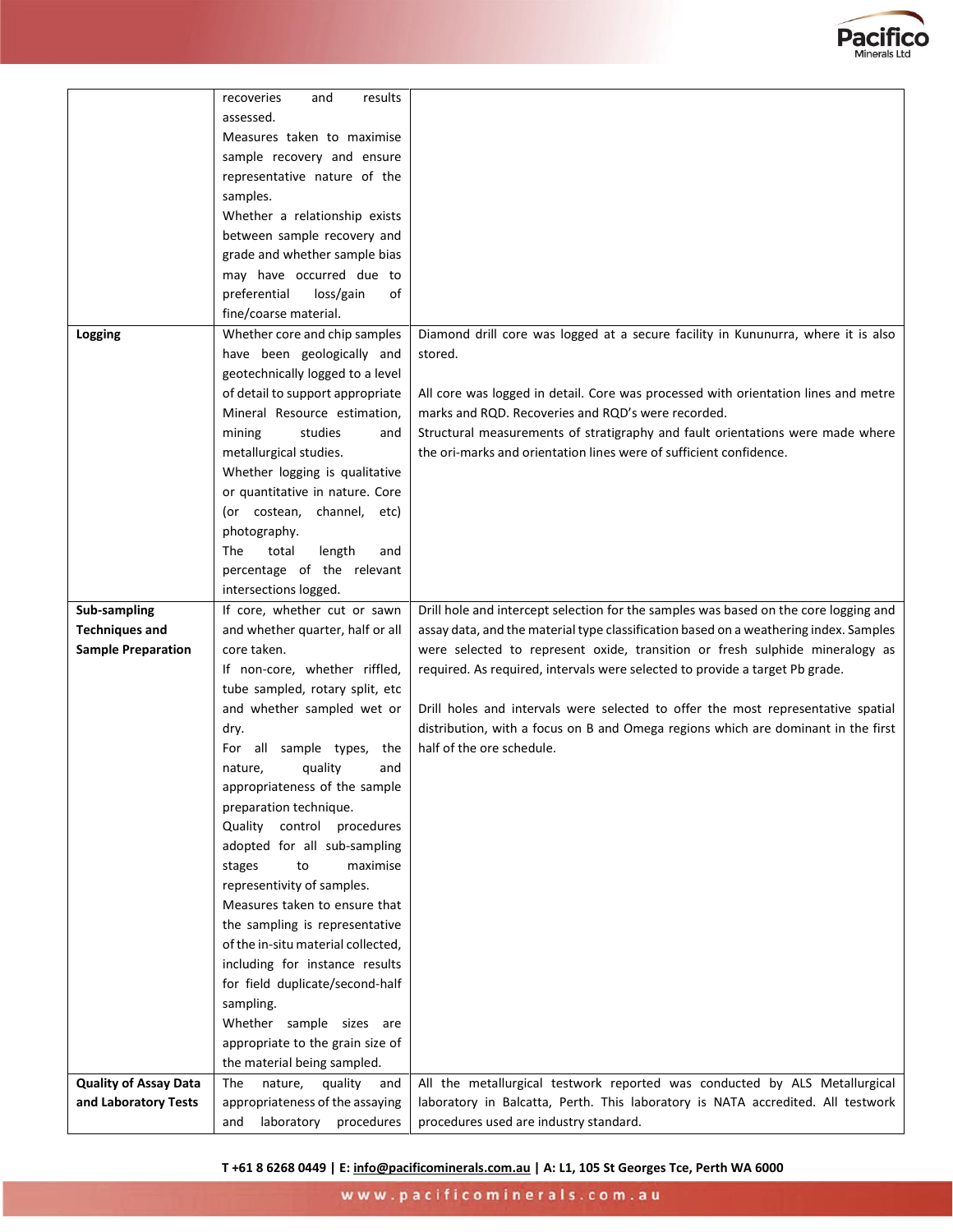

|                              | results                            |                                                                                       |
|------------------------------|------------------------------------|---------------------------------------------------------------------------------------|
|                              | recoveries<br>and                  |                                                                                       |
|                              | assessed.                          |                                                                                       |
|                              | Measures taken to maximise         |                                                                                       |
|                              | sample recovery and ensure         |                                                                                       |
|                              | representative nature of the       |                                                                                       |
|                              | samples.                           |                                                                                       |
|                              | Whether a relationship exists      |                                                                                       |
|                              | between sample recovery and        |                                                                                       |
|                              | grade and whether sample bias      |                                                                                       |
|                              | may have occurred due to           |                                                                                       |
|                              | preferential<br>loss/gain<br>of    |                                                                                       |
|                              | fine/coarse material.              |                                                                                       |
| Logging                      | Whether core and chip samples      | Diamond drill core was logged at a secure facility in Kununurra, where it is also     |
|                              | have been geologically and         | stored.                                                                               |
|                              | geotechnically logged to a level   |                                                                                       |
|                              | of detail to support appropriate   | All core was logged in detail. Core was processed with orientation lines and metre    |
|                              | Mineral Resource estimation,       | marks and RQD. Recoveries and RQD's were recorded.                                    |
|                              | mining<br>studies<br>and           | Structural measurements of stratigraphy and fault orientations were made where        |
|                              | metallurgical studies.             | the ori-marks and orientation lines were of sufficient confidence.                    |
|                              | Whether logging is qualitative     |                                                                                       |
|                              | or quantitative in nature. Core    |                                                                                       |
|                              | (or costean, channel, etc)         |                                                                                       |
|                              | photography.                       |                                                                                       |
|                              | total<br>length<br>The<br>and      |                                                                                       |
|                              | percentage of the relevant         |                                                                                       |
|                              | intersections logged.              |                                                                                       |
| <b>Sub-sampling</b>          | If core, whether cut or sawn       | Drill hole and intercept selection for the samples was based on the core logging and  |
| <b>Techniques and</b>        | and whether quarter, half or all   | assay data, and the material type classification based on a weathering index. Samples |
| <b>Sample Preparation</b>    | core taken.                        | were selected to represent oxide, transition or fresh sulphide mineralogy as          |
|                              | If non-core, whether riffled,      | required. As required, intervals were selected to provide a target Pb grade.          |
|                              | tube sampled, rotary split, etc    |                                                                                       |
|                              | and whether sampled wet or         | Drill holes and intervals were selected to offer the most representative spatial      |
|                              | dry.                               | distribution, with a focus on B and Omega regions which are dominant in the first     |
|                              | For all sample types, the          | half of the ore schedule.                                                             |
|                              | quality<br>nature,<br>and          |                                                                                       |
|                              | appropriateness of the sample      |                                                                                       |
|                              | preparation technique.             |                                                                                       |
|                              | Quality control procedures         |                                                                                       |
|                              | adopted for all sub-sampling       |                                                                                       |
|                              | to<br>maximise<br>stages           |                                                                                       |
|                              | representivity of samples.         |                                                                                       |
|                              | Measures taken to ensure that      |                                                                                       |
|                              | the sampling is representative     |                                                                                       |
|                              | of the in-situ material collected, |                                                                                       |
|                              | including for instance results     |                                                                                       |
|                              | for field duplicate/second-half    |                                                                                       |
|                              | sampling.                          |                                                                                       |
|                              | Whether sample sizes are           |                                                                                       |
|                              | appropriate to the grain size of   |                                                                                       |
|                              | the material being sampled.        |                                                                                       |
| <b>Quality of Assay Data</b> | nature,<br>quality<br>The<br>and   | All the metallurgical testwork reported was conducted by ALS Metallurgical            |
| and Laboratory Tests         | appropriateness of the assaying    | laboratory in Balcatta, Perth. This laboratory is NATA accredited. All testwork       |
|                              | laboratory procedures<br>and       | procedures used are industry standard.                                                |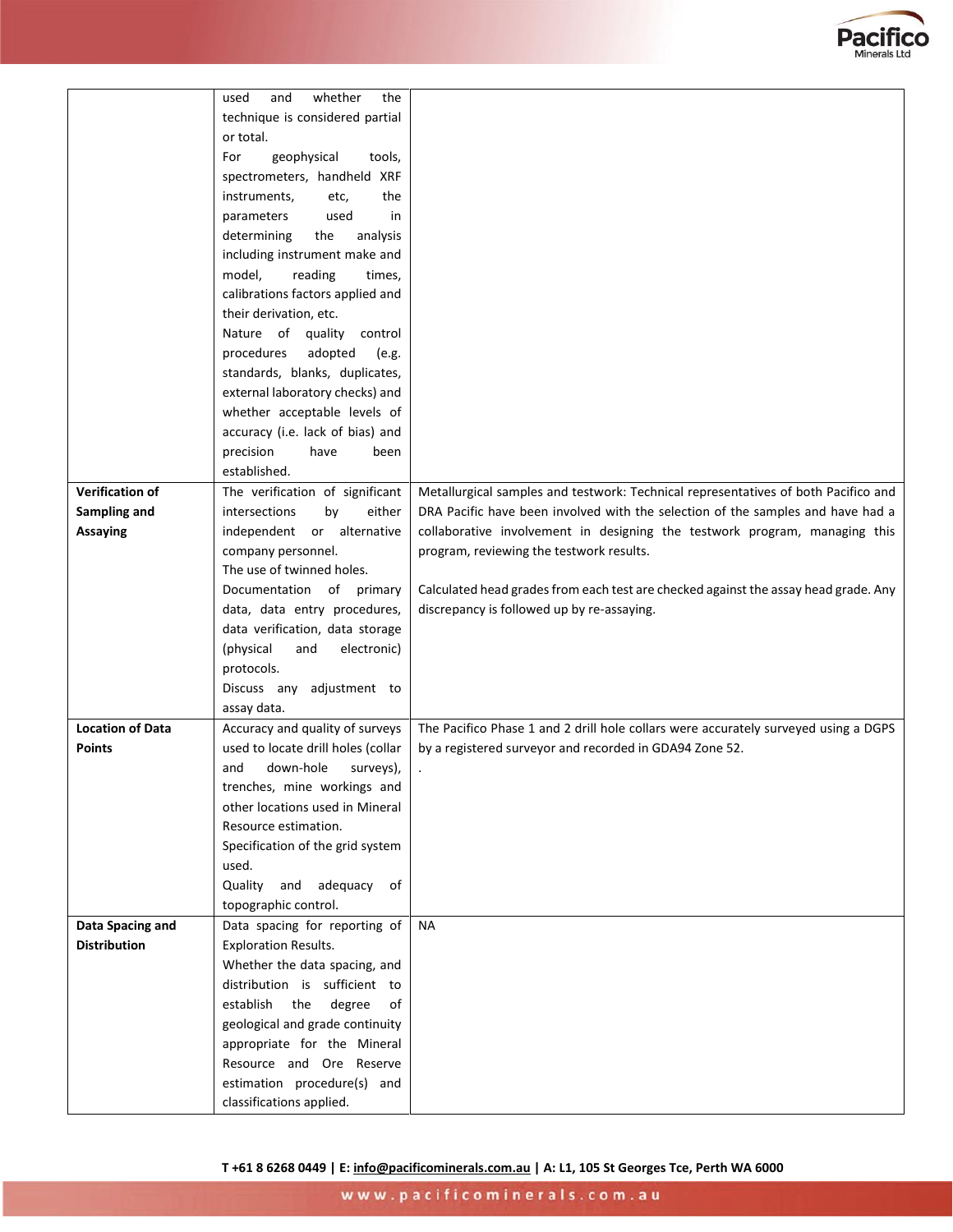

|                         | whether<br>the<br>used<br>and      |                                                                                     |
|-------------------------|------------------------------------|-------------------------------------------------------------------------------------|
|                         | technique is considered partial    |                                                                                     |
|                         | or total.                          |                                                                                     |
|                         | For<br>geophysical<br>tools,       |                                                                                     |
|                         | spectrometers, handheld XRF        |                                                                                     |
|                         | the<br>instruments,<br>etc,        |                                                                                     |
|                         | parameters<br>used<br>in           |                                                                                     |
|                         | determining<br>the<br>analysis     |                                                                                     |
|                         | including instrument make and      |                                                                                     |
|                         | model,<br>reading<br>times,        |                                                                                     |
|                         | calibrations factors applied and   |                                                                                     |
|                         | their derivation, etc.             |                                                                                     |
|                         |                                    |                                                                                     |
|                         | Nature of quality control          |                                                                                     |
|                         | procedures<br>adopted<br>(e.g.     |                                                                                     |
|                         | standards, blanks, duplicates,     |                                                                                     |
|                         | external laboratory checks) and    |                                                                                     |
|                         | whether acceptable levels of       |                                                                                     |
|                         | accuracy (i.e. lack of bias) and   |                                                                                     |
|                         | precision<br>have<br>been          |                                                                                     |
|                         | established.                       |                                                                                     |
| <b>Verification of</b>  | The verification of significant    | Metallurgical samples and testwork: Technical representatives of both Pacifico and  |
| Sampling and            | either<br>intersections<br>by      | DRA Pacific have been involved with the selection of the samples and have had a     |
| <b>Assaying</b>         | independent or alternative         | collaborative involvement in designing the testwork program, managing this          |
|                         | company personnel.                 | program, reviewing the testwork results.                                            |
|                         | The use of twinned holes.          |                                                                                     |
|                         | Documentation of primary           | Calculated head grades from each test are checked against the assay head grade. Any |
|                         | data, data entry procedures,       | discrepancy is followed up by re-assaying.                                          |
|                         | data verification, data storage    |                                                                                     |
|                         | electronic)<br>and                 |                                                                                     |
|                         | (physical                          |                                                                                     |
|                         | protocols.                         |                                                                                     |
|                         | Discuss any adjustment to          |                                                                                     |
|                         | assay data.                        |                                                                                     |
| <b>Location of Data</b> | Accuracy and quality of surveys    | The Pacifico Phase 1 and 2 drill hole collars were accurately surveyed using a DGPS |
| <b>Points</b>           | used to locate drill holes (collar | by a registered surveyor and recorded in GDA94 Zone 52.                             |
|                         | down-hole<br>and<br>surveys),      |                                                                                     |
|                         | trenches, mine workings and        |                                                                                     |
|                         | other locations used in Mineral    |                                                                                     |
|                         | Resource estimation.               |                                                                                     |
|                         | Specification of the grid system   |                                                                                     |
|                         | used.                              |                                                                                     |
|                         | Quality<br>adequacy of<br>and      |                                                                                     |
|                         | topographic control.               |                                                                                     |
| Data Spacing and        | Data spacing for reporting of      | NA                                                                                  |
| <b>Distribution</b>     | <b>Exploration Results.</b>        |                                                                                     |
|                         | Whether the data spacing, and      |                                                                                     |
|                         | distribution is sufficient to      |                                                                                     |
|                         | establish the<br>degree<br>of      |                                                                                     |
|                         |                                    |                                                                                     |
|                         | geological and grade continuity    |                                                                                     |
|                         | appropriate for the Mineral        |                                                                                     |
|                         | Resource and Ore Reserve           |                                                                                     |
|                         | estimation procedure(s) and        |                                                                                     |
|                         | classifications applied.           |                                                                                     |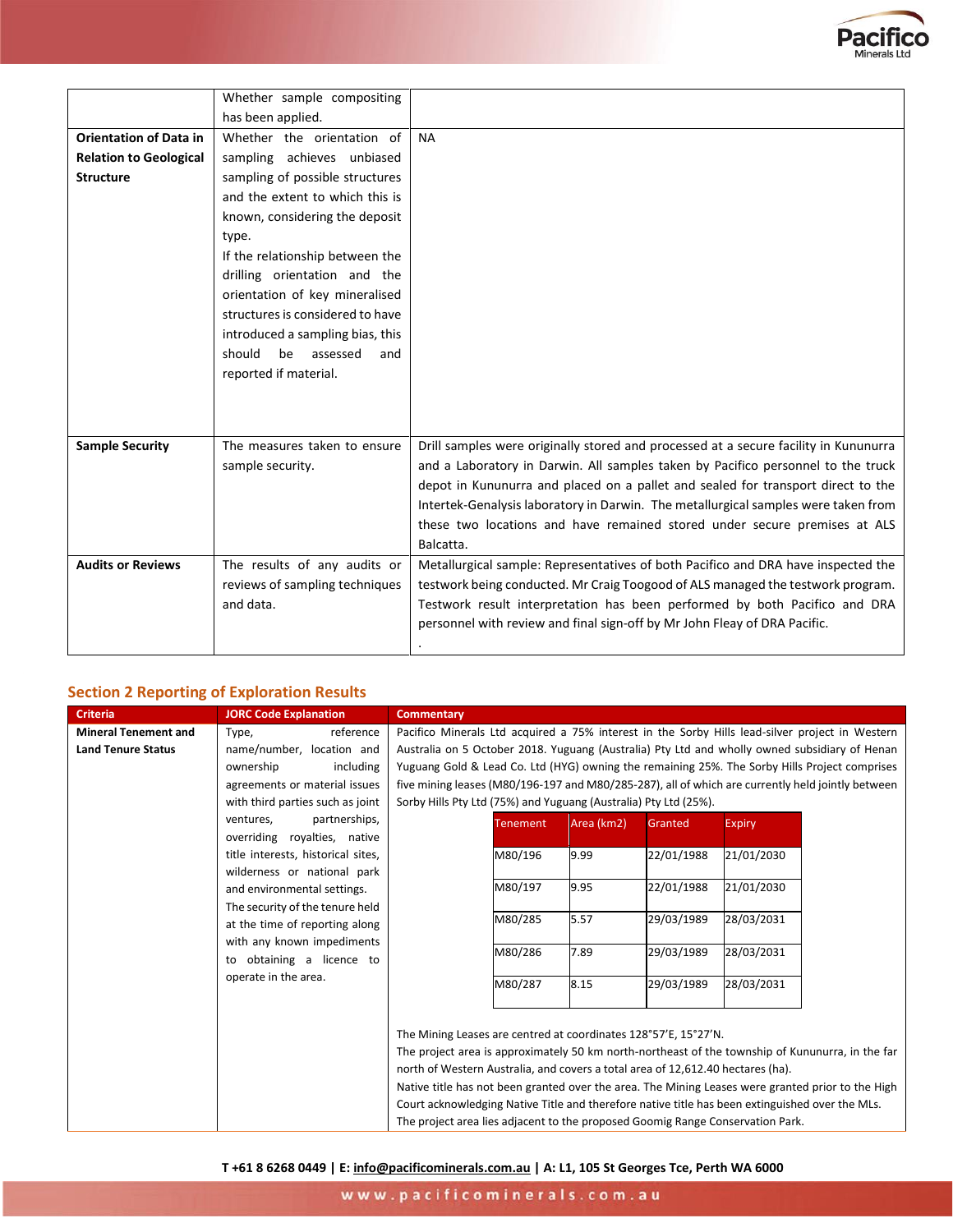

|                               | Whether sample compositing       |                                                                                      |
|-------------------------------|----------------------------------|--------------------------------------------------------------------------------------|
|                               | has been applied.                |                                                                                      |
| <b>Orientation of Data in</b> | Whether the orientation of       | <b>NA</b>                                                                            |
| <b>Relation to Geological</b> | sampling achieves unbiased       |                                                                                      |
| <b>Structure</b>              | sampling of possible structures  |                                                                                      |
|                               | and the extent to which this is  |                                                                                      |
|                               | known, considering the deposit   |                                                                                      |
|                               | type.                            |                                                                                      |
|                               | If the relationship between the  |                                                                                      |
|                               | drilling orientation and the     |                                                                                      |
|                               | orientation of key mineralised   |                                                                                      |
|                               | structures is considered to have |                                                                                      |
|                               | introduced a sampling bias, this |                                                                                      |
|                               | assessed<br>should<br>be<br>and  |                                                                                      |
|                               | reported if material.            |                                                                                      |
|                               |                                  |                                                                                      |
|                               |                                  |                                                                                      |
|                               |                                  |                                                                                      |
| <b>Sample Security</b>        | The measures taken to ensure     | Drill samples were originally stored and processed at a secure facility in Kununurra |
|                               | sample security.                 | and a Laboratory in Darwin. All samples taken by Pacifico personnel to the truck     |
|                               |                                  | depot in Kununurra and placed on a pallet and sealed for transport direct to the     |
|                               |                                  | Intertek-Genalysis laboratory in Darwin. The metallurgical samples were taken from   |
|                               |                                  | these two locations and have remained stored under secure premises at ALS            |
|                               |                                  | Balcatta.                                                                            |
| <b>Audits or Reviews</b>      | The results of any audits or     | Metallurgical sample: Representatives of both Pacifico and DRA have inspected the    |
|                               | reviews of sampling techniques   | testwork being conducted. Mr Craig Toogood of ALS managed the testwork program.      |
|                               | and data.                        | Testwork result interpretation has been performed by both Pacifico and DRA           |
|                               |                                  | personnel with review and final sign-off by Mr John Fleay of DRA Pacific.            |
|                               |                                  |                                                                                      |
|                               |                                  |                                                                                      |

## **Section 2 Reporting of Exploration Results**

| <b>Commentary</b> |                                                                                                                                                                                                                                                                                                                                                                                                            |                                                  |                                    |                                                   |                                                                                                                                                                                                                                                                                                                                                                                                                                                                                                                                                                                                                                                                                                                                                                                                                                                                                                                                                                                                                                                                                           |
|-------------------|------------------------------------------------------------------------------------------------------------------------------------------------------------------------------------------------------------------------------------------------------------------------------------------------------------------------------------------------------------------------------------------------------------|--------------------------------------------------|------------------------------------|---------------------------------------------------|-------------------------------------------------------------------------------------------------------------------------------------------------------------------------------------------------------------------------------------------------------------------------------------------------------------------------------------------------------------------------------------------------------------------------------------------------------------------------------------------------------------------------------------------------------------------------------------------------------------------------------------------------------------------------------------------------------------------------------------------------------------------------------------------------------------------------------------------------------------------------------------------------------------------------------------------------------------------------------------------------------------------------------------------------------------------------------------------|
|                   |                                                                                                                                                                                                                                                                                                                                                                                                            |                                                  |                                    |                                                   |                                                                                                                                                                                                                                                                                                                                                                                                                                                                                                                                                                                                                                                                                                                                                                                                                                                                                                                                                                                                                                                                                           |
|                   |                                                                                                                                                                                                                                                                                                                                                                                                            |                                                  |                                    |                                                   |                                                                                                                                                                                                                                                                                                                                                                                                                                                                                                                                                                                                                                                                                                                                                                                                                                                                                                                                                                                                                                                                                           |
|                   |                                                                                                                                                                                                                                                                                                                                                                                                            |                                                  |                                    |                                                   |                                                                                                                                                                                                                                                                                                                                                                                                                                                                                                                                                                                                                                                                                                                                                                                                                                                                                                                                                                                                                                                                                           |
|                   |                                                                                                                                                                                                                                                                                                                                                                                                            |                                                  |                                    |                                                   |                                                                                                                                                                                                                                                                                                                                                                                                                                                                                                                                                                                                                                                                                                                                                                                                                                                                                                                                                                                                                                                                                           |
|                   |                                                                                                                                                                                                                                                                                                                                                                                                            |                                                  |                                    |                                                   |                                                                                                                                                                                                                                                                                                                                                                                                                                                                                                                                                                                                                                                                                                                                                                                                                                                                                                                                                                                                                                                                                           |
|                   |                                                                                                                                                                                                                                                                                                                                                                                                            |                                                  |                                    |                                                   |                                                                                                                                                                                                                                                                                                                                                                                                                                                                                                                                                                                                                                                                                                                                                                                                                                                                                                                                                                                                                                                                                           |
|                   |                                                                                                                                                                                                                                                                                                                                                                                                            |                                                  |                                    |                                                   |                                                                                                                                                                                                                                                                                                                                                                                                                                                                                                                                                                                                                                                                                                                                                                                                                                                                                                                                                                                                                                                                                           |
|                   | M80/196                                                                                                                                                                                                                                                                                                                                                                                                    | 9.99                                             | 22/01/1988                         | 21/01/2030                                        |                                                                                                                                                                                                                                                                                                                                                                                                                                                                                                                                                                                                                                                                                                                                                                                                                                                                                                                                                                                                                                                                                           |
|                   |                                                                                                                                                                                                                                                                                                                                                                                                            |                                                  |                                    |                                                   |                                                                                                                                                                                                                                                                                                                                                                                                                                                                                                                                                                                                                                                                                                                                                                                                                                                                                                                                                                                                                                                                                           |
|                   | M80/197                                                                                                                                                                                                                                                                                                                                                                                                    | 9.95                                             | 22/01/1988                         | 21/01/2030                                        |                                                                                                                                                                                                                                                                                                                                                                                                                                                                                                                                                                                                                                                                                                                                                                                                                                                                                                                                                                                                                                                                                           |
|                   |                                                                                                                                                                                                                                                                                                                                                                                                            |                                                  |                                    |                                                   |                                                                                                                                                                                                                                                                                                                                                                                                                                                                                                                                                                                                                                                                                                                                                                                                                                                                                                                                                                                                                                                                                           |
|                   |                                                                                                                                                                                                                                                                                                                                                                                                            |                                                  |                                    |                                                   |                                                                                                                                                                                                                                                                                                                                                                                                                                                                                                                                                                                                                                                                                                                                                                                                                                                                                                                                                                                                                                                                                           |
|                   |                                                                                                                                                                                                                                                                                                                                                                                                            |                                                  |                                    |                                                   |                                                                                                                                                                                                                                                                                                                                                                                                                                                                                                                                                                                                                                                                                                                                                                                                                                                                                                                                                                                                                                                                                           |
|                   |                                                                                                                                                                                                                                                                                                                                                                                                            |                                                  |                                    |                                                   |                                                                                                                                                                                                                                                                                                                                                                                                                                                                                                                                                                                                                                                                                                                                                                                                                                                                                                                                                                                                                                                                                           |
|                   |                                                                                                                                                                                                                                                                                                                                                                                                            |                                                  |                                    |                                                   |                                                                                                                                                                                                                                                                                                                                                                                                                                                                                                                                                                                                                                                                                                                                                                                                                                                                                                                                                                                                                                                                                           |
|                   |                                                                                                                                                                                                                                                                                                                                                                                                            |                                                  |                                    |                                                   |                                                                                                                                                                                                                                                                                                                                                                                                                                                                                                                                                                                                                                                                                                                                                                                                                                                                                                                                                                                                                                                                                           |
|                   |                                                                                                                                                                                                                                                                                                                                                                                                            |                                                  |                                    |                                                   |                                                                                                                                                                                                                                                                                                                                                                                                                                                                                                                                                                                                                                                                                                                                                                                                                                                                                                                                                                                                                                                                                           |
|                   |                                                                                                                                                                                                                                                                                                                                                                                                            |                                                  |                                    |                                                   |                                                                                                                                                                                                                                                                                                                                                                                                                                                                                                                                                                                                                                                                                                                                                                                                                                                                                                                                                                                                                                                                                           |
|                   |                                                                                                                                                                                                                                                                                                                                                                                                            |                                                  |                                    |                                                   |                                                                                                                                                                                                                                                                                                                                                                                                                                                                                                                                                                                                                                                                                                                                                                                                                                                                                                                                                                                                                                                                                           |
|                   |                                                                                                                                                                                                                                                                                                                                                                                                            |                                                  |                                    |                                                   |                                                                                                                                                                                                                                                                                                                                                                                                                                                                                                                                                                                                                                                                                                                                                                                                                                                                                                                                                                                                                                                                                           |
|                   |                                                                                                                                                                                                                                                                                                                                                                                                            |                                                  |                                    |                                                   |                                                                                                                                                                                                                                                                                                                                                                                                                                                                                                                                                                                                                                                                                                                                                                                                                                                                                                                                                                                                                                                                                           |
|                   |                                                                                                                                                                                                                                                                                                                                                                                                            |                                                  |                                    |                                                   |                                                                                                                                                                                                                                                                                                                                                                                                                                                                                                                                                                                                                                                                                                                                                                                                                                                                                                                                                                                                                                                                                           |
|                   |                                                                                                                                                                                                                                                                                                                                                                                                            |                                                  |                                    |                                                   |                                                                                                                                                                                                                                                                                                                                                                                                                                                                                                                                                                                                                                                                                                                                                                                                                                                                                                                                                                                                                                                                                           |
|                   | reference<br>name/number, location and<br>including<br>agreements or material issues<br>with third parties such as joint<br>partnerships,<br>overriding royalties, native<br>title interests, historical sites,<br>wilderness or national park<br>and environmental settings.<br>The security of the tenure held<br>at the time of reporting along<br>with any known impediments<br>obtaining a licence to | <b>Tenement</b><br>M80/285<br>M80/286<br>M80/287 | Area (km2)<br>5.57<br>7.89<br>8.15 | Granted<br>29/03/1989<br>29/03/1989<br>29/03/1989 | Pacifico Minerals Ltd acquired a 75% interest in the Sorby Hills lead-silver project in Western<br>Australia on 5 October 2018. Yuguang (Australia) Pty Ltd and wholly owned subsidiary of Henan<br>Yuguang Gold & Lead Co. Ltd (HYG) owning the remaining 25%. The Sorby Hills Project comprises<br>five mining leases (M80/196-197 and M80/285-287), all of which are currently held jointly between<br>Sorby Hills Pty Ltd (75%) and Yuguang (Australia) Pty Ltd (25%).<br><b>Expiry</b><br>28/03/2031<br>28/03/2031<br>28/03/2031<br>The Mining Leases are centred at coordinates 128°57'E, 15°27'N.<br>The project area is approximately 50 km north-northeast of the township of Kununurra, in the far<br>north of Western Australia, and covers a total area of 12,612.40 hectares (ha).<br>Native title has not been granted over the area. The Mining Leases were granted prior to the High<br>Court acknowledging Native Title and therefore native title has been extinguished over the MLs.<br>The project area lies adjacent to the proposed Goomig Range Conservation Park. |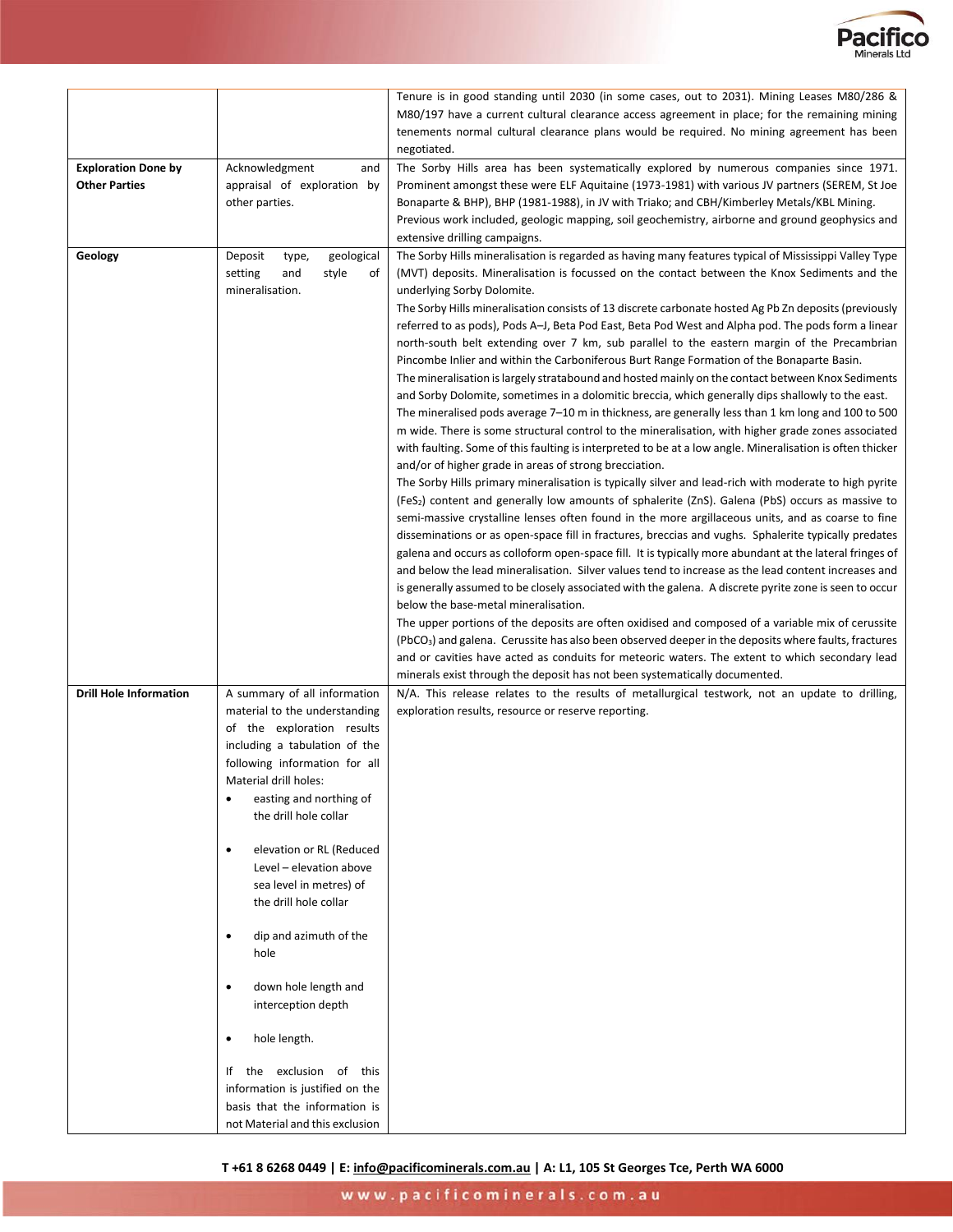

|                                                    |                                                                                                                                                                                                                                                                                                                                                                                                                                                                                                                                                                                                              | Tenure is in good standing until 2030 (in some cases, out to 2031). Mining Leases M80/286 &<br>M80/197 have a current cultural clearance access agreement in place; for the remaining mining<br>tenements normal cultural clearance plans would be required. No mining agreement has been<br>negotiated.                                                                                                                                                                                                                                                                                                                                                                                                                                                                                                                                                                                                                                                                                                                                                                                                                                                                                                                                                                                                                                                                                                                                                                                                                                                                                                                                                                                                                                                                                                                                                                                                                                                                                                                                                                                                                                                                                                                                                                                                                                                                                                                                                       |
|----------------------------------------------------|--------------------------------------------------------------------------------------------------------------------------------------------------------------------------------------------------------------------------------------------------------------------------------------------------------------------------------------------------------------------------------------------------------------------------------------------------------------------------------------------------------------------------------------------------------------------------------------------------------------|----------------------------------------------------------------------------------------------------------------------------------------------------------------------------------------------------------------------------------------------------------------------------------------------------------------------------------------------------------------------------------------------------------------------------------------------------------------------------------------------------------------------------------------------------------------------------------------------------------------------------------------------------------------------------------------------------------------------------------------------------------------------------------------------------------------------------------------------------------------------------------------------------------------------------------------------------------------------------------------------------------------------------------------------------------------------------------------------------------------------------------------------------------------------------------------------------------------------------------------------------------------------------------------------------------------------------------------------------------------------------------------------------------------------------------------------------------------------------------------------------------------------------------------------------------------------------------------------------------------------------------------------------------------------------------------------------------------------------------------------------------------------------------------------------------------------------------------------------------------------------------------------------------------------------------------------------------------------------------------------------------------------------------------------------------------------------------------------------------------------------------------------------------------------------------------------------------------------------------------------------------------------------------------------------------------------------------------------------------------------------------------------------------------------------------------------------------------|
| <b>Exploration Done by</b><br><b>Other Parties</b> | Acknowledgment<br>and<br>appraisal of exploration by<br>other parties.                                                                                                                                                                                                                                                                                                                                                                                                                                                                                                                                       | The Sorby Hills area has been systematically explored by numerous companies since 1971.<br>Prominent amongst these were ELF Aquitaine (1973-1981) with various JV partners (SEREM, St Joe<br>Bonaparte & BHP), BHP (1981-1988), in JV with Triako; and CBH/Kimberley Metals/KBL Mining.<br>Previous work included, geologic mapping, soil geochemistry, airborne and ground geophysics and<br>extensive drilling campaigns.                                                                                                                                                                                                                                                                                                                                                                                                                                                                                                                                                                                                                                                                                                                                                                                                                                                                                                                                                                                                                                                                                                                                                                                                                                                                                                                                                                                                                                                                                                                                                                                                                                                                                                                                                                                                                                                                                                                                                                                                                                    |
| Geology                                            | Deposit<br>geological<br>type,<br>setting<br>style<br>and<br>оt<br>mineralisation.                                                                                                                                                                                                                                                                                                                                                                                                                                                                                                                           | The Sorby Hills mineralisation is regarded as having many features typical of Mississippi Valley Type<br>(MVT) deposits. Mineralisation is focussed on the contact between the Knox Sediments and the<br>underlying Sorby Dolomite.<br>The Sorby Hills mineralisation consists of 13 discrete carbonate hosted Ag Pb Zn deposits (previously<br>referred to as pods), Pods A-J, Beta Pod East, Beta Pod West and Alpha pod. The pods form a linear<br>north-south belt extending over 7 km, sub parallel to the eastern margin of the Precambrian<br>Pincombe Inlier and within the Carboniferous Burt Range Formation of the Bonaparte Basin.<br>The mineralisation is largely stratabound and hosted mainly on the contact between Knox Sediments<br>and Sorby Dolomite, sometimes in a dolomitic breccia, which generally dips shallowly to the east.<br>The mineralised pods average 7–10 m in thickness, are generally less than 1 km long and 100 to 500<br>m wide. There is some structural control to the mineralisation, with higher grade zones associated<br>with faulting. Some of this faulting is interpreted to be at a low angle. Mineralisation is often thicker<br>and/or of higher grade in areas of strong brecciation.<br>The Sorby Hills primary mineralisation is typically silver and lead-rich with moderate to high pyrite<br>(FeS <sub>2</sub> ) content and generally low amounts of sphalerite (ZnS). Galena (PbS) occurs as massive to<br>semi-massive crystalline lenses often found in the more argillaceous units, and as coarse to fine<br>disseminations or as open-space fill in fractures, breccias and vughs. Sphalerite typically predates<br>galena and occurs as colloform open-space fill. It is typically more abundant at the lateral fringes of<br>and below the lead mineralisation. Silver values tend to increase as the lead content increases and<br>is generally assumed to be closely associated with the galena. A discrete pyrite zone is seen to occur<br>below the base-metal mineralisation.<br>The upper portions of the deposits are often oxidised and composed of a variable mix of cerussite<br>(PbCO <sub>3</sub> ) and galena. Cerussite has also been observed deeper in the deposits where faults, fractures<br>and or cavities have acted as conduits for meteoric waters. The extent to which secondary lead<br>minerals exist through the deposit has not been systematically documented. |
| <b>Drill Hole Information</b>                      | A summary of all information<br>material to the understanding<br>of the exploration results<br>including a tabulation of the<br>following information for all<br>Material drill holes:<br>easting and northing of<br>٠<br>the drill hole collar<br>elevation or RL (Reduced<br>٠<br>Level - elevation above<br>sea level in metres) of<br>the drill hole collar<br>dip and azimuth of the<br>٠<br>hole<br>down hole length and<br>interception depth<br>hole length.<br>٠<br>If the exclusion of this<br>information is justified on the<br>basis that the information is<br>not Material and this exclusion | N/A. This release relates to the results of metallurgical testwork, not an update to drilling,<br>exploration results, resource or reserve reporting.                                                                                                                                                                                                                                                                                                                                                                                                                                                                                                                                                                                                                                                                                                                                                                                                                                                                                                                                                                                                                                                                                                                                                                                                                                                                                                                                                                                                                                                                                                                                                                                                                                                                                                                                                                                                                                                                                                                                                                                                                                                                                                                                                                                                                                                                                                          |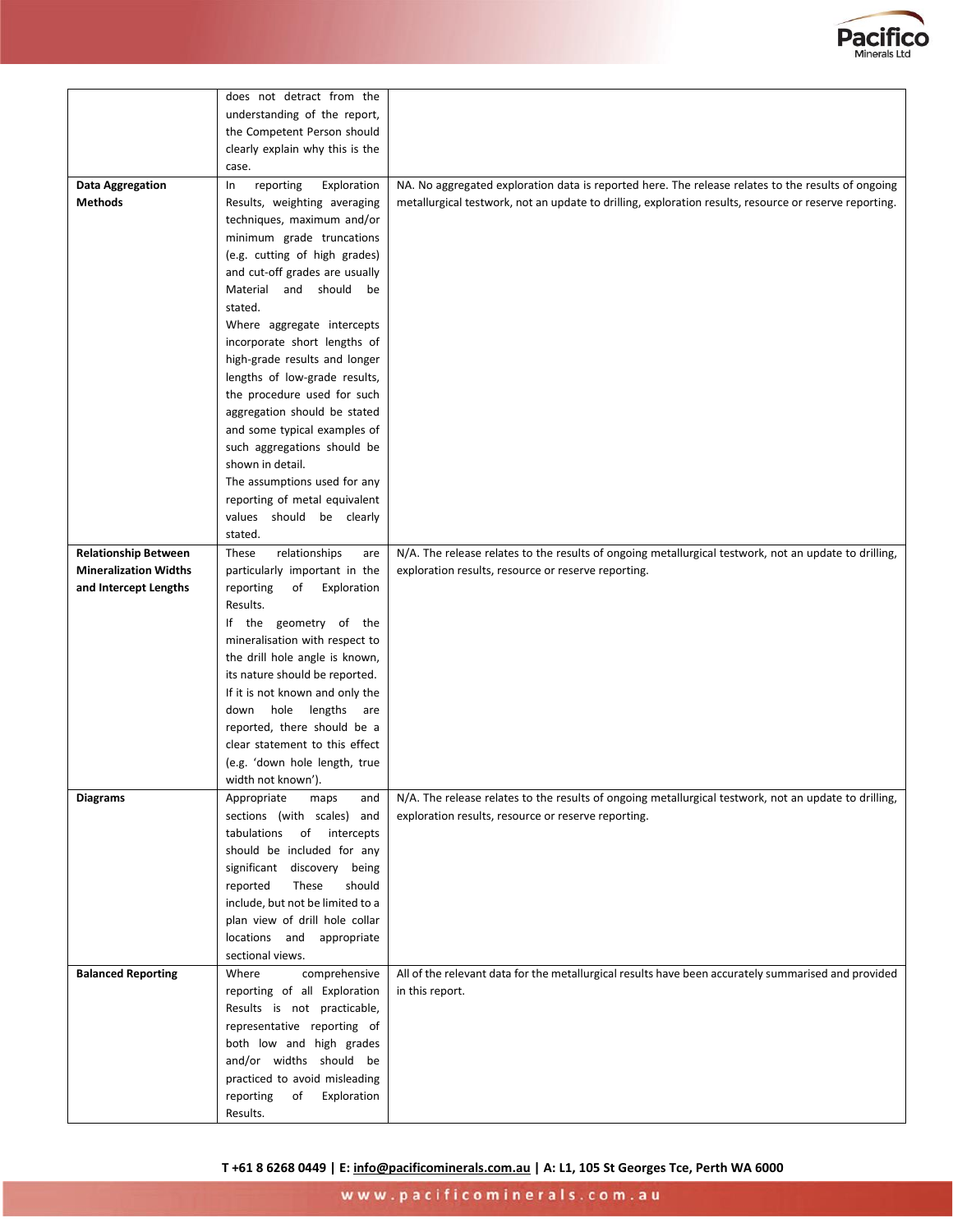

|                              | does not detract from the        |                                                                                                        |
|------------------------------|----------------------------------|--------------------------------------------------------------------------------------------------------|
|                              | understanding of the report,     |                                                                                                        |
|                              | the Competent Person should      |                                                                                                        |
|                              | clearly explain why this is the  |                                                                                                        |
|                              | case.                            |                                                                                                        |
| Data Aggregation             | Exploration<br>reporting<br>In   | NA. No aggregated exploration data is reported here. The release relates to the results of ongoing     |
| <b>Methods</b>               | Results, weighting averaging     | metallurgical testwork, not an update to drilling, exploration results, resource or reserve reporting. |
|                              | techniques, maximum and/or       |                                                                                                        |
|                              | minimum grade truncations        |                                                                                                        |
|                              | (e.g. cutting of high grades)    |                                                                                                        |
|                              |                                  |                                                                                                        |
|                              | and cut-off grades are usually   |                                                                                                        |
|                              | Material and should be           |                                                                                                        |
|                              | stated.                          |                                                                                                        |
|                              | Where aggregate intercepts       |                                                                                                        |
|                              | incorporate short lengths of     |                                                                                                        |
|                              | high-grade results and longer    |                                                                                                        |
|                              | lengths of low-grade results,    |                                                                                                        |
|                              | the procedure used for such      |                                                                                                        |
|                              | aggregation should be stated     |                                                                                                        |
|                              | and some typical examples of     |                                                                                                        |
|                              | such aggregations should be      |                                                                                                        |
|                              | shown in detail.                 |                                                                                                        |
|                              | The assumptions used for any     |                                                                                                        |
|                              | reporting of metal equivalent    |                                                                                                        |
|                              | values should be clearly         |                                                                                                        |
|                              | stated.                          |                                                                                                        |
| <b>Relationship Between</b>  | These<br>relationships<br>are    | N/A. The release relates to the results of ongoing metallurgical testwork, not an update to drilling,  |
| <b>Mineralization Widths</b> | particularly important in the    | exploration results, resource or reserve reporting.                                                    |
| and Intercept Lengths        | reporting<br>of<br>Exploration   |                                                                                                        |
|                              | Results.                         |                                                                                                        |
|                              | If the geometry of the           |                                                                                                        |
|                              | mineralisation with respect to   |                                                                                                        |
|                              | the drill hole angle is known,   |                                                                                                        |
|                              | its nature should be reported.   |                                                                                                        |
|                              | If it is not known and only the  |                                                                                                        |
|                              | down hole lengths are            |                                                                                                        |
|                              | reported, there should be a      |                                                                                                        |
|                              | clear statement to this effect   |                                                                                                        |
|                              | (e.g. 'down hole length, true    |                                                                                                        |
|                              | width not known').               |                                                                                                        |
| <b>Diagrams</b>              | Appropriate<br>maps<br>and       | N/A. The release relates to the results of ongoing metallurgical testwork, not an update to drilling,  |
|                              | sections (with scales) and       | exploration results, resource or reserve reporting.                                                    |
|                              | tabulations<br>of intercepts     |                                                                                                        |
|                              | should be included for any       |                                                                                                        |
|                              | significant discovery being      |                                                                                                        |
|                              | reported<br>These<br>should      |                                                                                                        |
|                              | include, but not be limited to a |                                                                                                        |
|                              | plan view of drill hole collar   |                                                                                                        |
|                              | locations and appropriate        |                                                                                                        |
|                              | sectional views.                 |                                                                                                        |
| <b>Balanced Reporting</b>    | Where<br>comprehensive           | All of the relevant data for the metallurgical results have been accurately summarised and provided    |
|                              | reporting of all Exploration     | in this report.                                                                                        |
|                              | Results is not practicable,      |                                                                                                        |
|                              | representative reporting of      |                                                                                                        |
|                              | both low and high grades         |                                                                                                        |
|                              | and/or widths should be          |                                                                                                        |
|                              | practiced to avoid misleading    |                                                                                                        |
|                              | reporting<br>Exploration<br>of   |                                                                                                        |
|                              | Results.                         |                                                                                                        |
|                              |                                  |                                                                                                        |